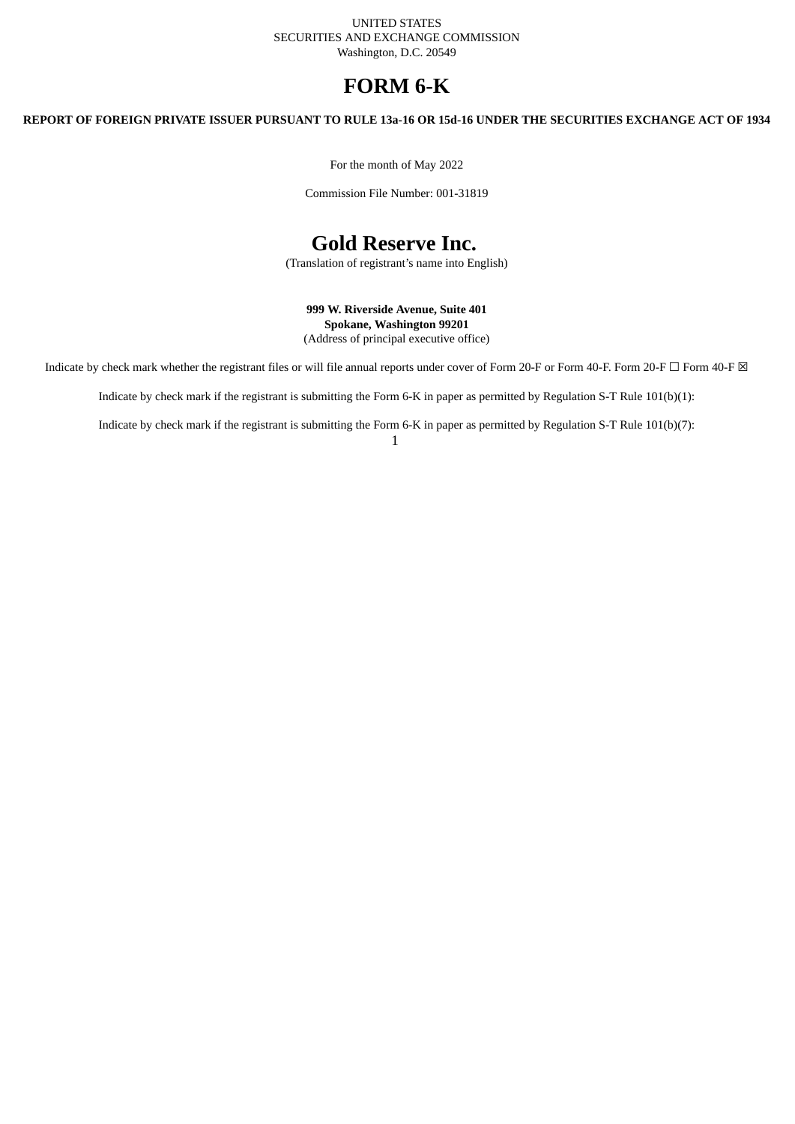UNITED STATES SECURITIES AND EXCHANGE COMMISSION Washington, D.C. 20549

# **FORM 6-K**

REPORT OF FOREIGN PRIVATE ISSUER PURSUANT TO RULE 13a-16 OR 15d-16 UNDER THE SECURITIES EXCHANGE ACT OF 1934

For the month of May 2022

Commission File Number: 001-31819

# **Gold Reserve Inc.**

(Translation of registrant's name into English)

**999 W. Riverside Avenue, Suite 401 Spokane, Washington 99201** (Address of principal executive office)

Indicate by check mark whether the registrant files or will file annual reports under cover of Form 20-F or Form 40-F. Form 20-F  $\Box$  Form 40-F  $\boxtimes$ 

Indicate by check mark if the registrant is submitting the Form 6-K in paper as permitted by Regulation S-T Rule 101(b)(1):

Indicate by check mark if the registrant is submitting the Form 6-K in paper as permitted by Regulation S-T Rule 101(b)(7):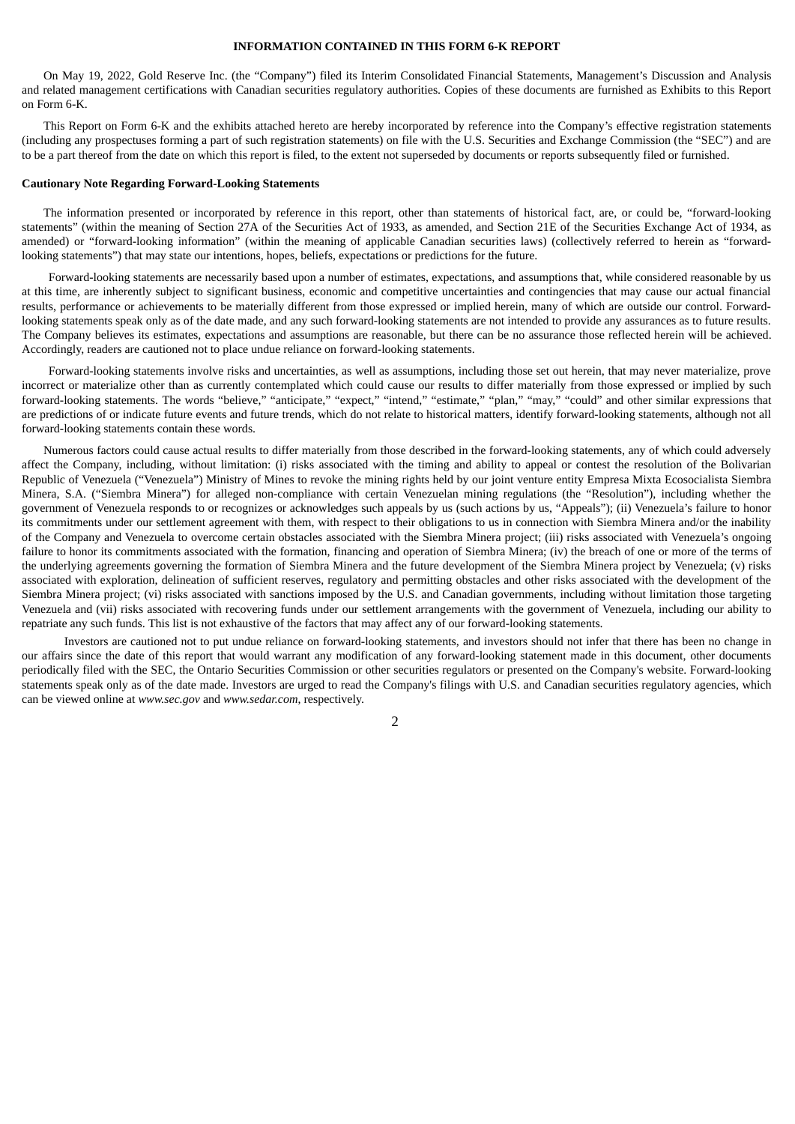### **INFORMATION CONTAINED IN THIS FORM 6-K REPORT**

On May 19, 2022, Gold Reserve Inc. (the "Company") filed its Interim Consolidated Financial Statements, Management's Discussion and Analysis and related management certifications with Canadian securities regulatory authorities. Copies of these documents are furnished as Exhibits to this Report on Form 6-K.

This Report on Form 6-K and the exhibits attached hereto are hereby incorporated by reference into the Company's effective registration statements (including any prospectuses forming a part of such registration statements) on file with the U.S. Securities and Exchange Commission (the "SEC") and are to be a part thereof from the date on which this report is filed, to the extent not superseded by documents or reports subsequently filed or furnished.

#### **Cautionary Note Regarding Forward-Looking Statements**

The information presented or incorporated by reference in this report, other than statements of historical fact, are, or could be, "forward-looking statements" (within the meaning of Section 27A of the Securities Act of 1933, as amended, and Section 21E of the Securities Exchange Act of 1934, as amended) or "forward-looking information" (within the meaning of applicable Canadian securities laws) (collectively referred to herein as "forwardlooking statements") that may state our intentions, hopes, beliefs, expectations or predictions for the future.

Forward-looking statements are necessarily based upon a number of estimates, expectations, and assumptions that, while considered reasonable by us at this time, are inherently subject to significant business, economic and competitive uncertainties and contingencies that may cause our actual financial results, performance or achievements to be materially different from those expressed or implied herein, many of which are outside our control. Forwardlooking statements speak only as of the date made, and any such forward-looking statements are not intended to provide any assurances as to future results. The Company believes its estimates, expectations and assumptions are reasonable, but there can be no assurance those reflected herein will be achieved. Accordingly, readers are cautioned not to place undue reliance on forward-looking statements.

Forward-looking statements involve risks and uncertainties, as well as assumptions, including those set out herein, that may never materialize, prove incorrect or materialize other than as currently contemplated which could cause our results to differ materially from those expressed or implied by such forward-looking statements. The words "believe," "anticipate," "expect," "intend," "estimate," "plan," "may," "could" and other similar expressions that are predictions of or indicate future events and future trends, which do not relate to historical matters, identify forward-looking statements, although not all forward-looking statements contain these words.

Numerous factors could cause actual results to differ materially from those described in the forward-looking statements, any of which could adversely affect the Company, including, without limitation: (i) risks associated with the timing and ability to appeal or contest the resolution of the Bolivarian Republic of Venezuela ("Venezuela") Ministry of Mines to revoke the mining rights held by our joint venture entity Empresa Mixta Ecosocialista Siembra Minera, S.A. ("Siembra Minera") for alleged non-compliance with certain Venezuelan mining regulations (the "Resolution"), including whether the government of Venezuela responds to or recognizes or acknowledges such appeals by us (such actions by us, "Appeals"); (ii) Venezuela's failure to honor its commitments under our settlement agreement with them, with respect to their obligations to us in connection with Siembra Minera and/or the inability of the Company and Venezuela to overcome certain obstacles associated with the Siembra Minera project; (iii) risks associated with Venezuela's ongoing failure to honor its commitments associated with the formation, financing and operation of Siembra Minera; (iv) the breach of one or more of the terms of the underlying agreements governing the formation of Siembra Minera and the future development of the Siembra Minera project by Venezuela; (v) risks associated with exploration, delineation of sufficient reserves, regulatory and permitting obstacles and other risks associated with the development of the Siembra Minera project; (vi) risks associated with sanctions imposed by the U.S. and Canadian governments, including without limitation those targeting Venezuela and (vii) risks associated with recovering funds under our settlement arrangements with the government of Venezuela, including our ability to repatriate any such funds. This list is not exhaustive of the factors that may affect any of our forward-looking statements.

Investors are cautioned not to put undue reliance on forward-looking statements, and investors should not infer that there has been no change in our affairs since the date of this report that would warrant any modification of any forward-looking statement made in this document, other documents periodically filed with the SEC, the Ontario Securities Commission or other securities regulators or presented on the Company's website. Forward-looking statements speak only as of the date made. Investors are urged to read the Company's filings with U.S. and Canadian securities regulatory agencies, which can be viewed online at *www.sec.gov* and *www.sedar.com*, respectively.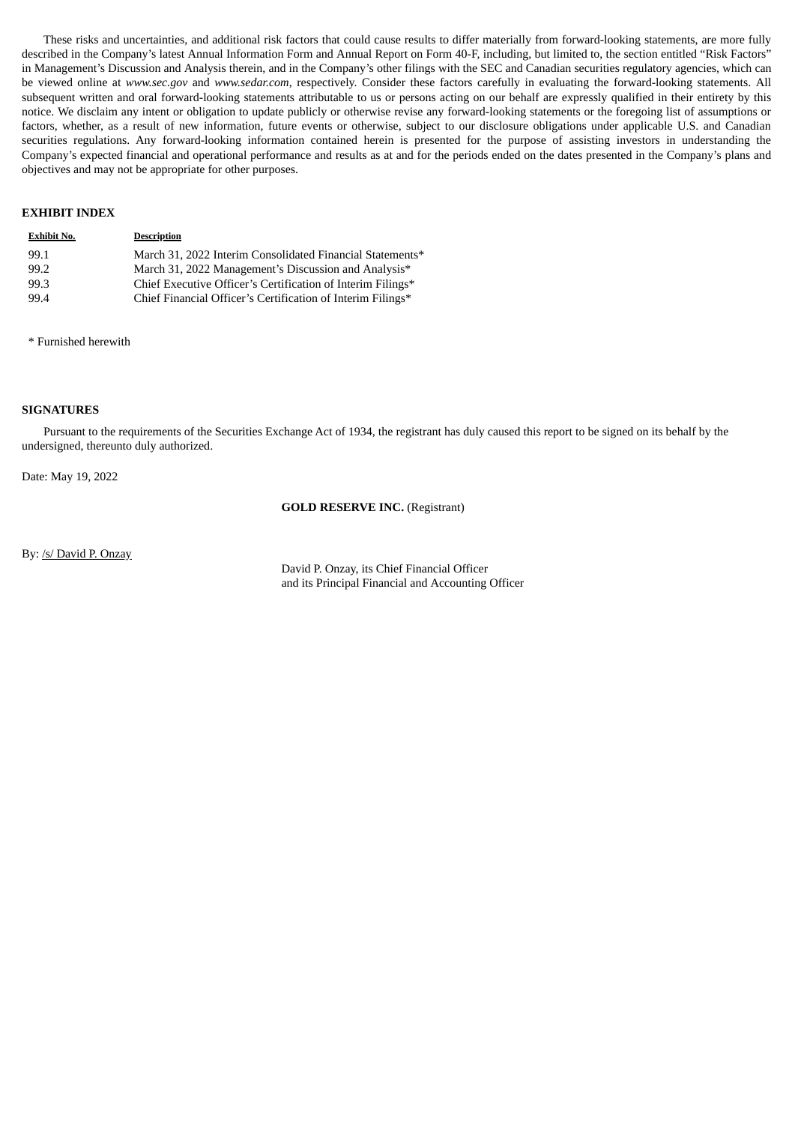These risks and uncertainties, and additional risk factors that could cause results to differ materially from forward-looking statements, are more fully described in the Company's latest Annual Information Form and Annual Report on Form 40-F, including, but limited to, the section entitled "Risk Factors" in Management's Discussion and Analysis therein, and in the Company's other filings with the SEC and Canadian securities regulatory agencies, which can be viewed online at *www.sec.gov* and *www.sedar.com*, respectively. Consider these factors carefully in evaluating the forward-looking statements. All subsequent written and oral forward-looking statements attributable to us or persons acting on our behalf are expressly qualified in their entirety by this notice. We disclaim any intent or obligation to update publicly or otherwise revise any forward-looking statements or the foregoing list of assumptions or factors, whether, as a result of new information, future events or otherwise, subject to our disclosure obligations under applicable U.S. and Canadian securities regulations. Any forward-looking information contained herein is presented for the purpose of assisting investors in understanding the Company's expected financial and operational performance and results as at and for the periods ended on the dates presented in the Company's plans and objectives and may not be appropriate for other purposes.

### **EXHIBIT INDEX**

| <b>Exhibit No.</b> | <b>Description</b>                                          |
|--------------------|-------------------------------------------------------------|
| 99.1               | March 31, 2022 Interim Consolidated Financial Statements*   |
| 99.2               | March 31, 2022 Management's Discussion and Analysis*        |
| 99.3               | Chief Executive Officer's Certification of Interim Filings* |
| 99.4               | Chief Financial Officer's Certification of Interim Filings* |

\* Furnished herewith

#### **SIGNATURES**

Pursuant to the requirements of the Securities Exchange Act of 1934, the registrant has duly caused this report to be signed on its behalf by the undersigned, thereunto duly authorized.

Date: May 19, 2022

#### **GOLD RESERVE INC.** (Registrant)

By: /s/ David P. Onzay

David P. Onzay, its Chief Financial Officer and its Principal Financial and Accounting Officer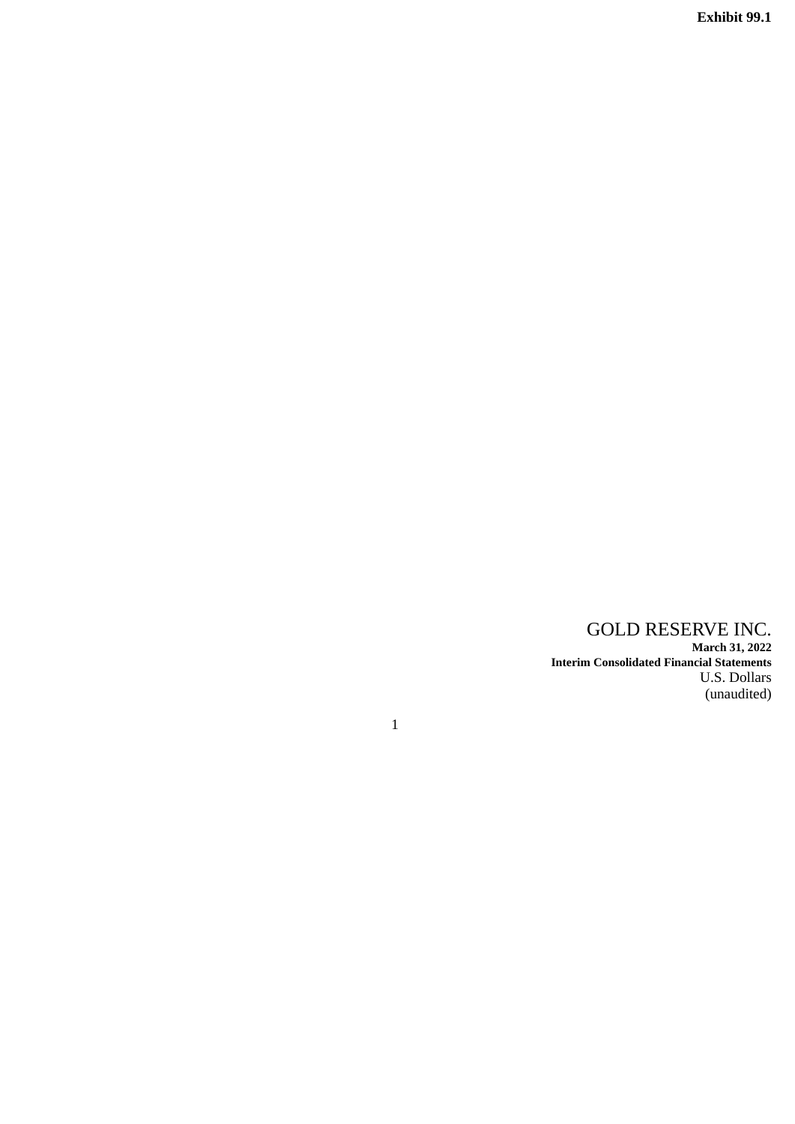**Exhibit 99.1**

GOLD RESERVE INC. **March 31, 2022 Interim Consolidated Financial Statements** U.S. Dollars (unaudited)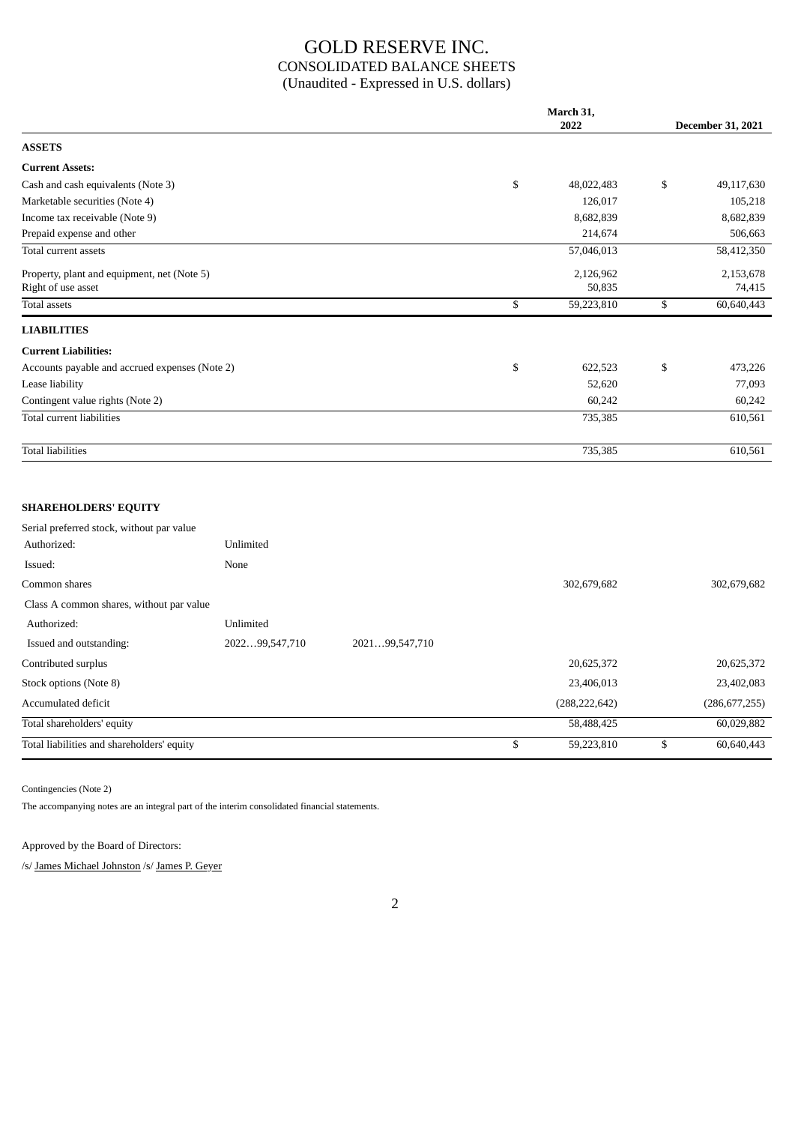## GOLD RESERVE INC. CONSOLIDATED BALANCE SHEETS (Unaudited - Expressed in U.S. dollars)

|                                                | March 31,<br>2022 |    |            |
|------------------------------------------------|-------------------|----|------------|
| <b>ASSETS</b>                                  |                   |    |            |
| <b>Current Assets:</b>                         |                   |    |            |
| Cash and cash equivalents (Note 3)             | \$<br>48,022,483  | \$ | 49,117,630 |
| Marketable securities (Note 4)                 | 126,017           |    | 105,218    |
| Income tax receivable (Note 9)                 | 8,682,839         |    | 8,682,839  |
| Prepaid expense and other                      | 214,674           |    | 506,663    |
| Total current assets                           | 57,046,013        |    | 58,412,350 |
| Property, plant and equipment, net (Note 5)    | 2,126,962         |    | 2,153,678  |
| Right of use asset                             | 50,835            |    | 74,415     |
| Total assets                                   | \$<br>59,223,810  | \$ | 60,640,443 |
| <b>LIABILITIES</b>                             |                   |    |            |
| <b>Current Liabilities:</b>                    |                   |    |            |
| Accounts payable and accrued expenses (Note 2) | \$<br>622,523     | \$ | 473,226    |
| Lease liability                                | 52,620            |    | 77,093     |
| Contingent value rights (Note 2)               | 60,242            |    | 60,242     |
| Total current liabilities                      | 735,385           |    | 610,561    |
| <b>Total liabilities</b>                       | 735,385           |    | 610,561    |
|                                                |                   |    |            |

## **SHAREHOLDERS' EQUITY**

| Serial preferred stock, without par value  |                |                |    |                 |                  |
|--------------------------------------------|----------------|----------------|----|-----------------|------------------|
| Authorized:                                | Unlimited      |                |    |                 |                  |
| Issued:                                    | None           |                |    |                 |                  |
| Common shares                              |                |                |    | 302,679,682     | 302,679,682      |
| Class A common shares, without par value   |                |                |    |                 |                  |
| Authorized:                                | Unlimited      |                |    |                 |                  |
| Issued and outstanding:                    | 202299,547,710 | 202199,547,710 |    |                 |                  |
| Contributed surplus                        |                |                |    | 20,625,372      | 20,625,372       |
| Stock options (Note 8)                     |                |                |    | 23,406,013      | 23,402,083       |
| Accumulated deficit                        |                |                |    | (288, 222, 642) | (286, 677, 255)  |
| Total shareholders' equity                 |                |                |    | 58,488,425      | 60,029,882       |
| Total liabilities and shareholders' equity |                |                | J. | 59,223,810      | \$<br>60,640,443 |

Contingencies (Note 2)

The accompanying notes are an integral part of the interim consolidated financial statements.

Approved by the Board of Directors:

/s/ James Michael Johnston /s/ James P. Geyer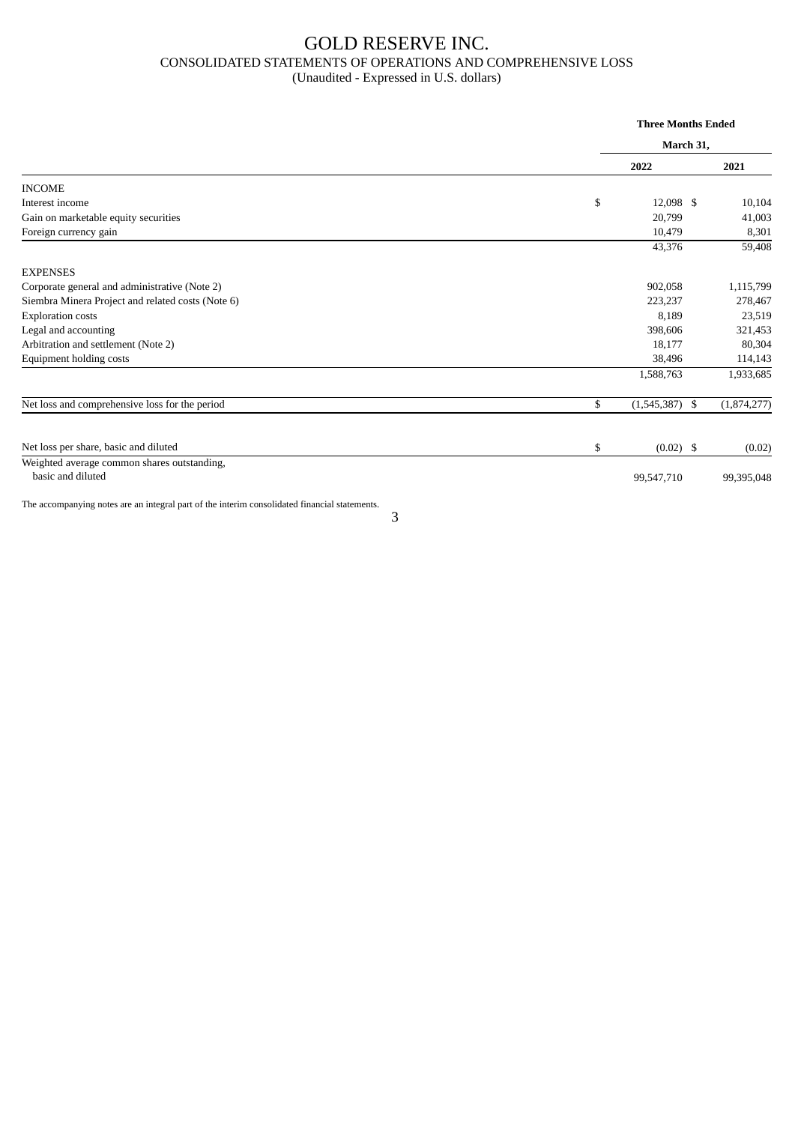## GOLD RESERVE INC. CONSOLIDATED STATEMENTS OF OPERATIONS AND COMPREHENSIVE LOSS (Unaudited - Expressed in U.S. dollars)

|                                                                                               |    | <b>Three Months Ended</b><br>March 31, |  |             |  |
|-----------------------------------------------------------------------------------------------|----|----------------------------------------|--|-------------|--|
|                                                                                               |    |                                        |  |             |  |
|                                                                                               |    | 2022                                   |  | 2021        |  |
| <b>INCOME</b>                                                                                 |    |                                        |  |             |  |
| Interest income                                                                               | \$ | 12,098 \$                              |  | 10,104      |  |
| Gain on marketable equity securities                                                          |    | 20,799                                 |  | 41,003      |  |
| Foreign currency gain                                                                         |    | 10,479                                 |  | 8,301       |  |
|                                                                                               |    | 43,376                                 |  | 59,408      |  |
| <b>EXPENSES</b>                                                                               |    |                                        |  |             |  |
| Corporate general and administrative (Note 2)                                                 |    | 902,058                                |  | 1,115,799   |  |
| Siembra Minera Project and related costs (Note 6)                                             |    | 223,237                                |  | 278,467     |  |
| <b>Exploration costs</b>                                                                      |    | 8,189                                  |  | 23,519      |  |
| Legal and accounting                                                                          |    | 398,606                                |  | 321,453     |  |
| Arbitration and settlement (Note 2)                                                           |    | 18,177                                 |  | 80,304      |  |
| Equipment holding costs                                                                       |    | 38,496                                 |  | 114,143     |  |
|                                                                                               |    | 1,588,763                              |  | 1,933,685   |  |
| Net loss and comprehensive loss for the period                                                | \$ | $(1,545,387)$ \$                       |  | (1,874,277) |  |
| Net loss per share, basic and diluted                                                         | \$ | $(0.02)$ \$                            |  | (0.02)      |  |
| Weighted average common shares outstanding,<br>basic and diluted                              |    | 99,547,710                             |  | 99,395,048  |  |
| The accompanying notes are an integral part of the interim consolidated financial statements. |    |                                        |  |             |  |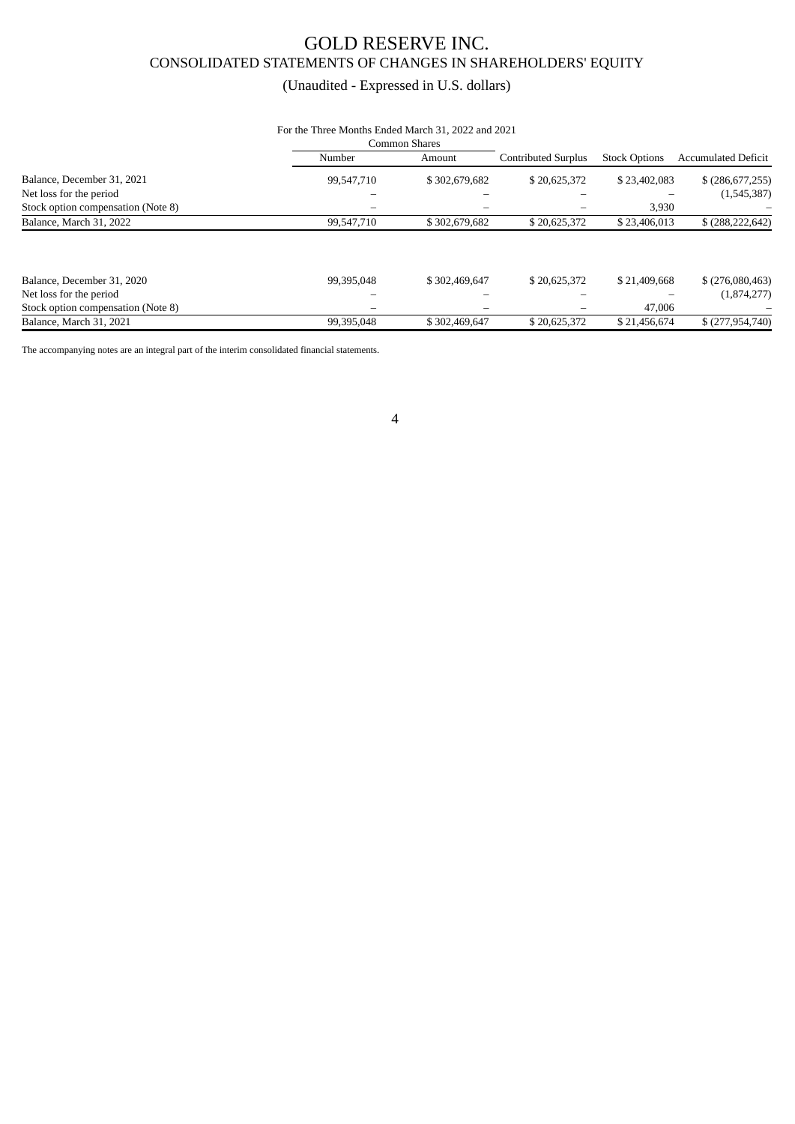## GOLD RESERVE INC. CONSOLIDATED STATEMENTS OF CHANGES IN SHAREHOLDERS' EQUITY

## (Unaudited - Expressed in U.S. dollars)

## For the Three Months Ended March 31, 2022 and 2021

|                                    |            | Common Shares |                            |                      |                            |
|------------------------------------|------------|---------------|----------------------------|----------------------|----------------------------|
|                                    | Number     | Amount        | <b>Contributed Surplus</b> | <b>Stock Options</b> | <b>Accumulated Deficit</b> |
| Balance, December 31, 2021         | 99,547,710 | \$302,679,682 | \$20,625,372               | \$23,402,083         | $$$ (286,677,255)          |
| Net loss for the period            |            |               |                            |                      | (1,545,387)                |
| Stock option compensation (Note 8) |            |               |                            | 3,930                |                            |
| Balance, March 31, 2022            | 99,547,710 | \$302,679,682 | \$20,625,372               | \$23,406,013         | $$$ (288, 222, 642)        |
|                                    |            |               |                            |                      |                            |
| Balance, December 31, 2020         | 99,395,048 | \$302,469,647 | \$20,625,372               | \$21,409,668         | $$$ (276,080,463)          |
| Net loss for the period            |            |               |                            |                      | (1,874,277)                |
| Stock option compensation (Note 8) |            |               |                            | 47,006               |                            |
| Balance, March 31, 2021            | 99,395,048 | \$302,469,647 | \$20,625,372               | \$21,456,674         | \$(277,954,740)            |

The accompanying notes are an integral part of the interim consolidated financial statements.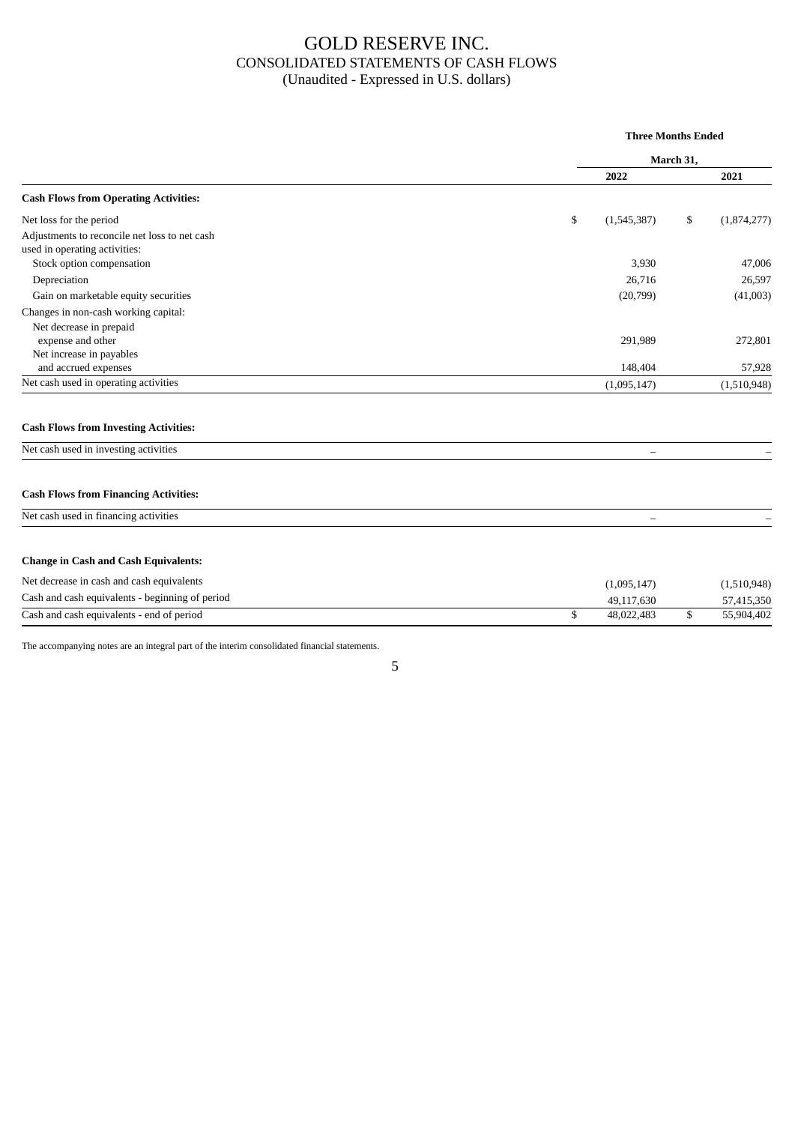## GOLD RESERVE INC. CONSOLIDATED STATEMENTS OF CASH FLOWS (Unaudited - Expressed in U.S. dollars)

|                                                                                |                   | <b>Three Months Ended</b> |             |  |  |
|--------------------------------------------------------------------------------|-------------------|---------------------------|-------------|--|--|
|                                                                                |                   | March 31,                 |             |  |  |
|                                                                                | 2022              |                           | 2021        |  |  |
| <b>Cash Flows from Operating Activities:</b>                                   |                   |                           |             |  |  |
| Net loss for the period                                                        | \$<br>(1,545,387) | \$                        | (1,874,277) |  |  |
| Adjustments to reconcile net loss to net cash<br>used in operating activities: |                   |                           |             |  |  |
| Stock option compensation                                                      | 3,930             |                           | 47,006      |  |  |
| Depreciation                                                                   | 26,716            |                           | 26,597      |  |  |
| Gain on marketable equity securities                                           | (20,799)          |                           | (41,003)    |  |  |
| Changes in non-cash working capital:                                           |                   |                           |             |  |  |
| Net decrease in prepaid<br>expense and other                                   | 291,989           |                           | 272,801     |  |  |
| Net increase in payables                                                       |                   |                           |             |  |  |
| and accrued expenses                                                           | 148,404           |                           | 57,928      |  |  |
| Net cash used in operating activities                                          | (1,095,147)       |                           | (1,510,948) |  |  |
| <b>Cash Flows from Investing Activities:</b>                                   |                   |                           |             |  |  |
| Net cash used in investing activities                                          |                   |                           |             |  |  |
| <b>Cash Flows from Financing Activities:</b>                                   |                   |                           |             |  |  |
| Net cash used in financing activities                                          |                   |                           |             |  |  |
| <b>Change in Cash and Cash Equivalents:</b>                                    |                   |                           |             |  |  |
|                                                                                |                   |                           |             |  |  |
| Net decrease in cash and cash equivalents                                      | (1,095,147)       |                           | (1,510,948) |  |  |
| Cash and cash equivalents - beginning of period                                | 49,117,630        |                           | 57,415,350  |  |  |
| Cash and cash equivalents - end of period                                      | \$<br>48,022,483  | \$                        | 55,904,402  |  |  |

The accompanying notes are an integral part of the interim consolidated financial statements.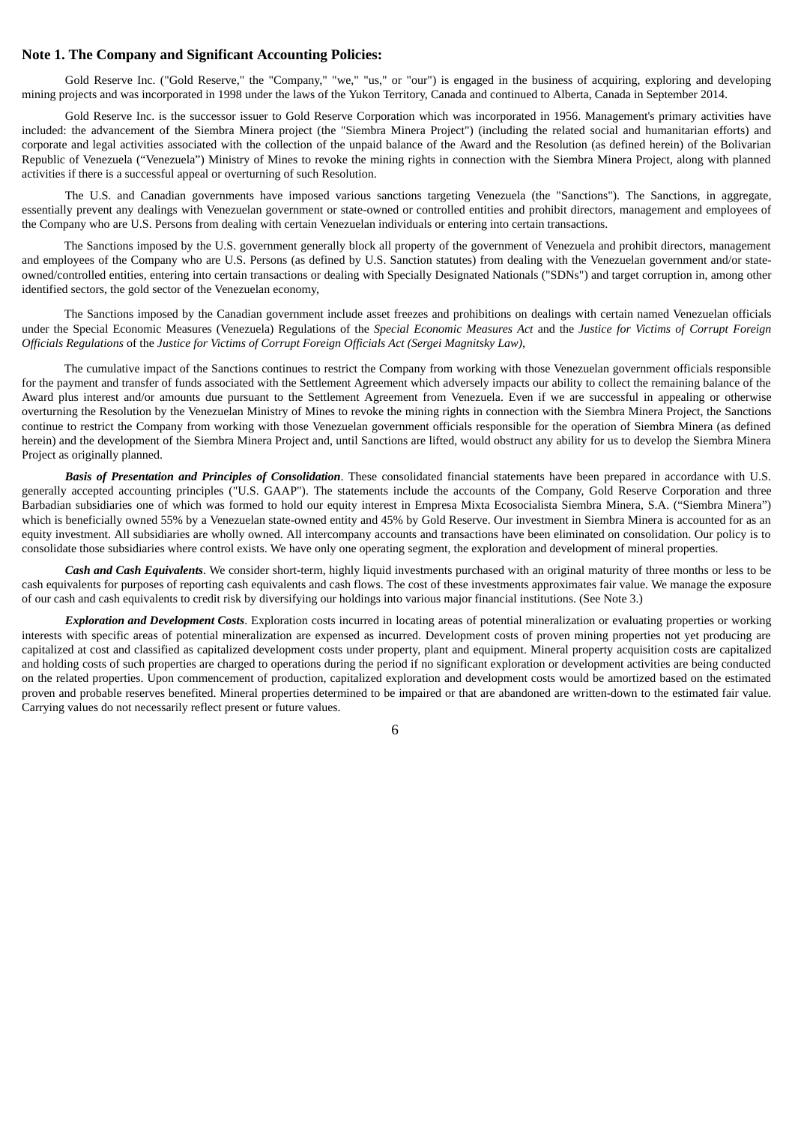#### **Note 1. The Company and Significant Accounting Policies:**

Gold Reserve Inc. ("Gold Reserve," the "Company," "we," "us," or "our") is engaged in the business of acquiring, exploring and developing mining projects and was incorporated in 1998 under the laws of the Yukon Territory, Canada and continued to Alberta, Canada in September 2014.

Gold Reserve Inc. is the successor issuer to Gold Reserve Corporation which was incorporated in 1956. Management's primary activities have included: the advancement of the Siembra Minera project (the "Siembra Minera Project") (including the related social and humanitarian efforts) and corporate and legal activities associated with the collection of the unpaid balance of the Award and the Resolution (as defined herein) of the Bolivarian Republic of Venezuela ("Venezuela") Ministry of Mines to revoke the mining rights in connection with the Siembra Minera Project, along with planned activities if there is a successful appeal or overturning of such Resolution.

The U.S. and Canadian governments have imposed various sanctions targeting Venezuela (the "Sanctions"). The Sanctions, in aggregate, essentially prevent any dealings with Venezuelan government or state-owned or controlled entities and prohibit directors, management and employees of the Company who are U.S. Persons from dealing with certain Venezuelan individuals or entering into certain transactions.

The Sanctions imposed by the U.S. government generally block all property of the government of Venezuela and prohibit directors, management and employees of the Company who are U.S. Persons (as defined by U.S. Sanction statutes) from dealing with the Venezuelan government and/or stateowned/controlled entities, entering into certain transactions or dealing with Specially Designated Nationals ("SDNs") and target corruption in, among other identified sectors, the gold sector of the Venezuelan economy,

The Sanctions imposed by the Canadian government include asset freezes and prohibitions on dealings with certain named Venezuelan officials under the Special Economic Measures (Venezuela) Regulations of the *Special Economic Measures Act* and the *Justice for Victims of Corrupt Foreign Officials Regulations* of the *Justice for Victims of Corrupt Foreign Officials Act (Sergei Magnitsky Law)*,

The cumulative impact of the Sanctions continues to restrict the Company from working with those Venezuelan government officials responsible for the payment and transfer of funds associated with the Settlement Agreement which adversely impacts our ability to collect the remaining balance of the Award plus interest and/or amounts due pursuant to the Settlement Agreement from Venezuela. Even if we are successful in appealing or otherwise overturning the Resolution by the Venezuelan Ministry of Mines to revoke the mining rights in connection with the Siembra Minera Project, the Sanctions continue to restrict the Company from working with those Venezuelan government officials responsible for the operation of Siembra Minera (as defined herein) and the development of the Siembra Minera Project and, until Sanctions are lifted, would obstruct any ability for us to develop the Siembra Minera Project as originally planned.

*Basis of Presentation and Principles of Consolidation*. These consolidated financial statements have been prepared in accordance with U.S. generally accepted accounting principles ("U.S. GAAP"). The statements include the accounts of the Company, Gold Reserve Corporation and three Barbadian subsidiaries one of which was formed to hold our equity interest in Empresa Mixta Ecosocialista Siembra Minera, S.A. ("Siembra Minera") which is beneficially owned 55% by a Venezuelan state-owned entity and 45% by Gold Reserve. Our investment in Siembra Minera is accounted for as an equity investment. All subsidiaries are wholly owned. All intercompany accounts and transactions have been eliminated on consolidation. Our policy is to consolidate those subsidiaries where control exists. We have only one operating segment, the exploration and development of mineral properties.

*Cash and Cash Equivalents*. We consider short-term, highly liquid investments purchased with an original maturity of three months or less to be cash equivalents for purposes of reporting cash equivalents and cash flows. The cost of these investments approximates fair value. We manage the exposure of our cash and cash equivalents to credit risk by diversifying our holdings into various major financial institutions. (See Note 3.)

*Exploration and Development Costs*. Exploration costs incurred in locating areas of potential mineralization or evaluating properties or working interests with specific areas of potential mineralization are expensed as incurred. Development costs of proven mining properties not yet producing are capitalized at cost and classified as capitalized development costs under property, plant and equipment. Mineral property acquisition costs are capitalized and holding costs of such properties are charged to operations during the period if no significant exploration or development activities are being conducted on the related properties. Upon commencement of production, capitalized exploration and development costs would be amortized based on the estimated proven and probable reserves benefited. Mineral properties determined to be impaired or that are abandoned are written-down to the estimated fair value. Carrying values do not necessarily reflect present or future values.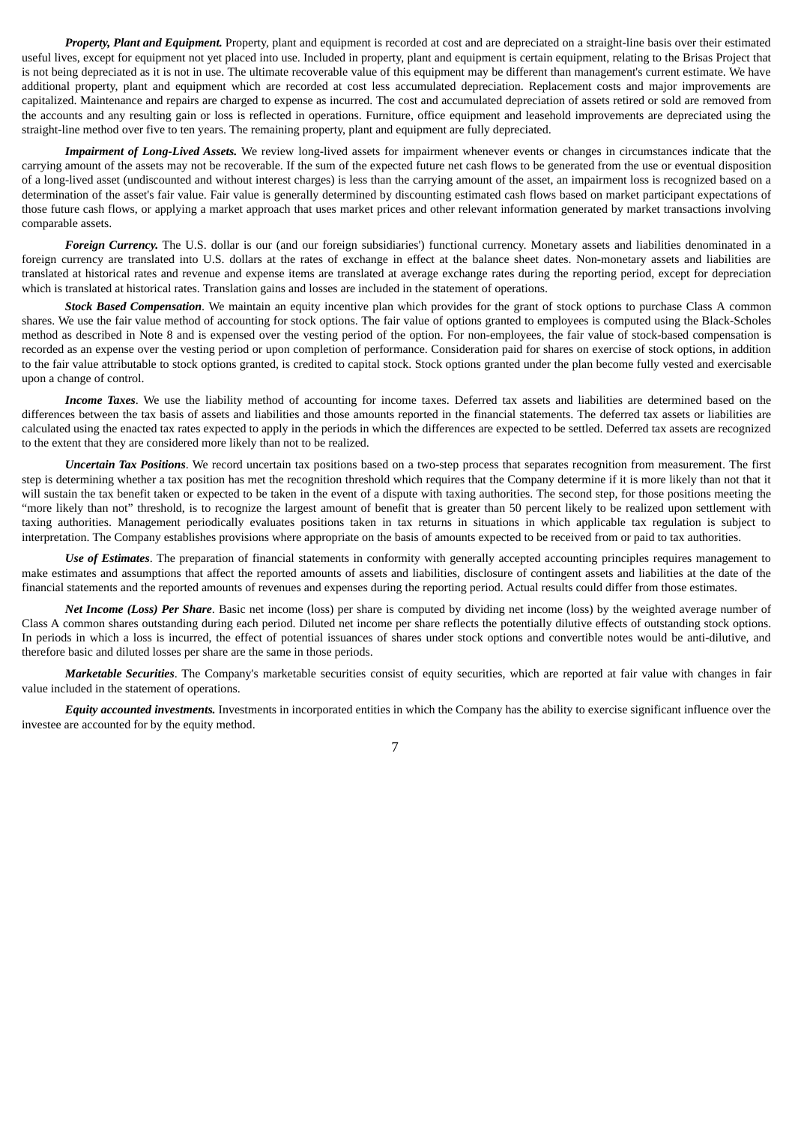*Property, Plant and Equipment.* Property, plant and equipment is recorded at cost and are depreciated on a straight-line basis over their estimated useful lives, except for equipment not yet placed into use. Included in property, plant and equipment is certain equipment, relating to the Brisas Project that is not being depreciated as it is not in use. The ultimate recoverable value of this equipment may be different than management's current estimate. We have additional property, plant and equipment which are recorded at cost less accumulated depreciation. Replacement costs and major improvements are capitalized. Maintenance and repairs are charged to expense as incurred. The cost and accumulated depreciation of assets retired or sold are removed from the accounts and any resulting gain or loss is reflected in operations. Furniture, office equipment and leasehold improvements are depreciated using the straight-line method over five to ten years. The remaining property, plant and equipment are fully depreciated.

*Impairment of Long-Lived Assets.* We review long-lived assets for impairment whenever events or changes in circumstances indicate that the carrying amount of the assets may not be recoverable. If the sum of the expected future net cash flows to be generated from the use or eventual disposition of a long-lived asset (undiscounted and without interest charges) is less than the carrying amount of the asset, an impairment loss is recognized based on a determination of the asset's fair value. Fair value is generally determined by discounting estimated cash flows based on market participant expectations of those future cash flows, or applying a market approach that uses market prices and other relevant information generated by market transactions involving comparable assets.

*Foreign Currency.* The U.S. dollar is our (and our foreign subsidiaries') functional currency. Monetary assets and liabilities denominated in a foreign currency are translated into U.S. dollars at the rates of exchange in effect at the balance sheet dates. Non-monetary assets and liabilities are translated at historical rates and revenue and expense items are translated at average exchange rates during the reporting period, except for depreciation which is translated at historical rates. Translation gains and losses are included in the statement of operations.

*Stock Based Compensation*. We maintain an equity incentive plan which provides for the grant of stock options to purchase Class A common shares. We use the fair value method of accounting for stock options. The fair value of options granted to employees is computed using the Black-Scholes method as described in Note 8 and is expensed over the vesting period of the option. For non-employees, the fair value of stock-based compensation is recorded as an expense over the vesting period or upon completion of performance. Consideration paid for shares on exercise of stock options, in addition to the fair value attributable to stock options granted, is credited to capital stock. Stock options granted under the plan become fully vested and exercisable upon a change of control.

*Income Taxes*. We use the liability method of accounting for income taxes. Deferred tax assets and liabilities are determined based on the differences between the tax basis of assets and liabilities and those amounts reported in the financial statements. The deferred tax assets or liabilities are calculated using the enacted tax rates expected to apply in the periods in which the differences are expected to be settled. Deferred tax assets are recognized to the extent that they are considered more likely than not to be realized.

*Uncertain Tax Positions*. We record uncertain tax positions based on a two-step process that separates recognition from measurement. The first step is determining whether a tax position has met the recognition threshold which requires that the Company determine if it is more likely than not that it will sustain the tax benefit taken or expected to be taken in the event of a dispute with taxing authorities. The second step, for those positions meeting the "more likely than not" threshold, is to recognize the largest amount of benefit that is greater than 50 percent likely to be realized upon settlement with taxing authorities. Management periodically evaluates positions taken in tax returns in situations in which applicable tax regulation is subject to interpretation. The Company establishes provisions where appropriate on the basis of amounts expected to be received from or paid to tax authorities.

*Use of Estimates*. The preparation of financial statements in conformity with generally accepted accounting principles requires management to make estimates and assumptions that affect the reported amounts of assets and liabilities, disclosure of contingent assets and liabilities at the date of the financial statements and the reported amounts of revenues and expenses during the reporting period. Actual results could differ from those estimates.

*Net Income (Loss) Per Share*. Basic net income (loss) per share is computed by dividing net income (loss) by the weighted average number of Class A common shares outstanding during each period. Diluted net income per share reflects the potentially dilutive effects of outstanding stock options. In periods in which a loss is incurred, the effect of potential issuances of shares under stock options and convertible notes would be anti-dilutive, and therefore basic and diluted losses per share are the same in those periods.

*Marketable Securities*. The Company's marketable securities consist of equity securities, which are reported at fair value with changes in fair value included in the statement of operations.

*Equity accounted investments.* Investments in incorporated entities in which the Company has the ability to exercise significant influence over the investee are accounted for by the equity method.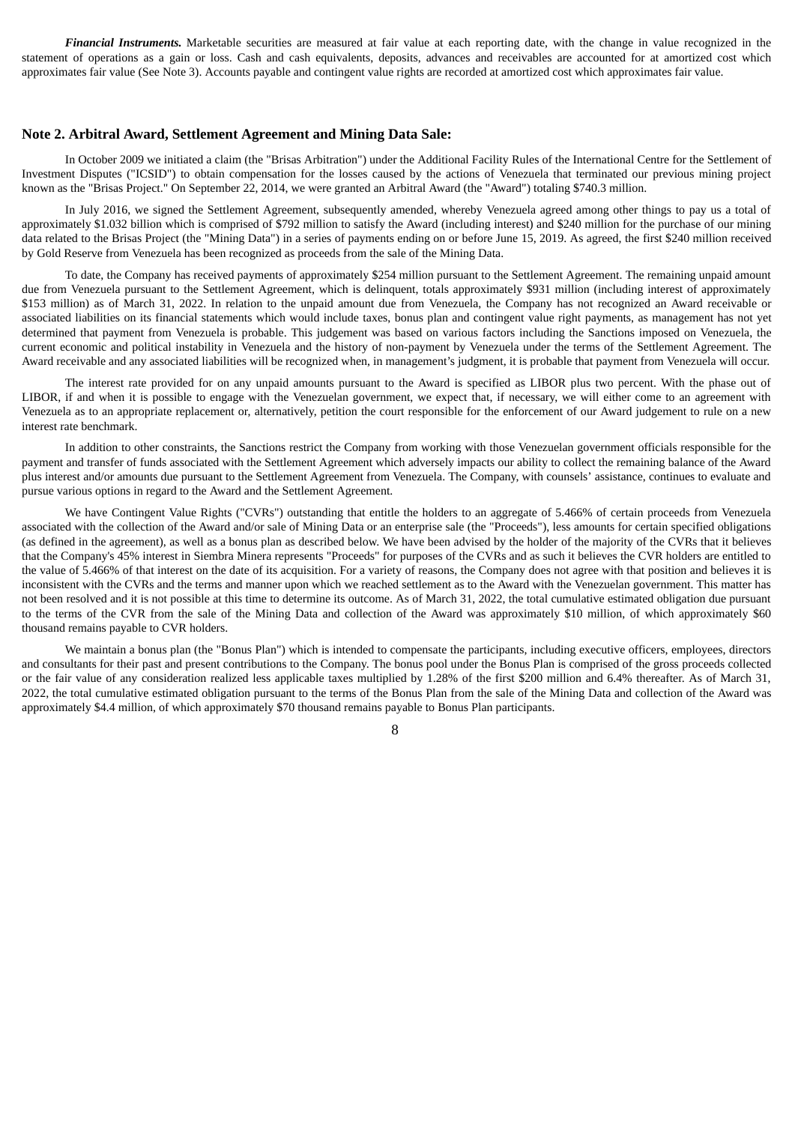*Financial Instruments.* Marketable securities are measured at fair value at each reporting date, with the change in value recognized in the statement of operations as a gain or loss. Cash and cash equivalents, deposits, advances and receivables are accounted for at amortized cost which approximates fair value (See Note 3). Accounts payable and contingent value rights are recorded at amortized cost which approximates fair value.

#### **Note 2. Arbitral Award, Settlement Agreement and Mining Data Sale:**

In October 2009 we initiated a claim (the "Brisas Arbitration") under the Additional Facility Rules of the International Centre for the Settlement of Investment Disputes ("ICSID") to obtain compensation for the losses caused by the actions of Venezuela that terminated our previous mining project known as the "Brisas Project." On September 22, 2014, we were granted an Arbitral Award (the "Award") totaling \$740.3 million.

In July 2016, we signed the Settlement Agreement, subsequently amended, whereby Venezuela agreed among other things to pay us a total of approximately \$1.032 billion which is comprised of \$792 million to satisfy the Award (including interest) and \$240 million for the purchase of our mining data related to the Brisas Project (the "Mining Data") in a series of payments ending on or before June 15, 2019. As agreed, the first \$240 million received by Gold Reserve from Venezuela has been recognized as proceeds from the sale of the Mining Data.

To date, the Company has received payments of approximately \$254 million pursuant to the Settlement Agreement. The remaining unpaid amount due from Venezuela pursuant to the Settlement Agreement, which is delinquent, totals approximately \$931 million (including interest of approximately \$153 million) as of March 31, 2022. In relation to the unpaid amount due from Venezuela, the Company has not recognized an Award receivable or associated liabilities on its financial statements which would include taxes, bonus plan and contingent value right payments, as management has not yet determined that payment from Venezuela is probable. This judgement was based on various factors including the Sanctions imposed on Venezuela, the current economic and political instability in Venezuela and the history of non-payment by Venezuela under the terms of the Settlement Agreement. The Award receivable and any associated liabilities will be recognized when, in management's judgment, it is probable that payment from Venezuela will occur.

The interest rate provided for on any unpaid amounts pursuant to the Award is specified as LIBOR plus two percent. With the phase out of LIBOR, if and when it is possible to engage with the Venezuelan government, we expect that, if necessary, we will either come to an agreement with Venezuela as to an appropriate replacement or, alternatively, petition the court responsible for the enforcement of our Award judgement to rule on a new interest rate benchmark.

In addition to other constraints, the Sanctions restrict the Company from working with those Venezuelan government officials responsible for the payment and transfer of funds associated with the Settlement Agreement which adversely impacts our ability to collect the remaining balance of the Award plus interest and/or amounts due pursuant to the Settlement Agreement from Venezuela. The Company, with counsels' assistance, continues to evaluate and pursue various options in regard to the Award and the Settlement Agreement.

We have Contingent Value Rights ("CVRs") outstanding that entitle the holders to an aggregate of 5.466% of certain proceeds from Venezuela associated with the collection of the Award and/or sale of Mining Data or an enterprise sale (the "Proceeds"), less amounts for certain specified obligations (as defined in the agreement), as well as a bonus plan as described below. We have been advised by the holder of the majority of the CVRs that it believes that the Company's 45% interest in Siembra Minera represents "Proceeds" for purposes of the CVRs and as such it believes the CVR holders are entitled to the value of 5.466% of that interest on the date of its acquisition. For a variety of reasons, the Company does not agree with that position and believes it is inconsistent with the CVRs and the terms and manner upon which we reached settlement as to the Award with the Venezuelan government. This matter has not been resolved and it is not possible at this time to determine its outcome. As of March 31, 2022, the total cumulative estimated obligation due pursuant to the terms of the CVR from the sale of the Mining Data and collection of the Award was approximately \$10 million, of which approximately \$60 thousand remains payable to CVR holders.

We maintain a bonus plan (the "Bonus Plan") which is intended to compensate the participants, including executive officers, employees, directors and consultants for their past and present contributions to the Company. The bonus pool under the Bonus Plan is comprised of the gross proceeds collected or the fair value of any consideration realized less applicable taxes multiplied by 1.28% of the first \$200 million and 6.4% thereafter. As of March 31, 2022, the total cumulative estimated obligation pursuant to the terms of the Bonus Plan from the sale of the Mining Data and collection of the Award was approximately \$4.4 million, of which approximately \$70 thousand remains payable to Bonus Plan participants.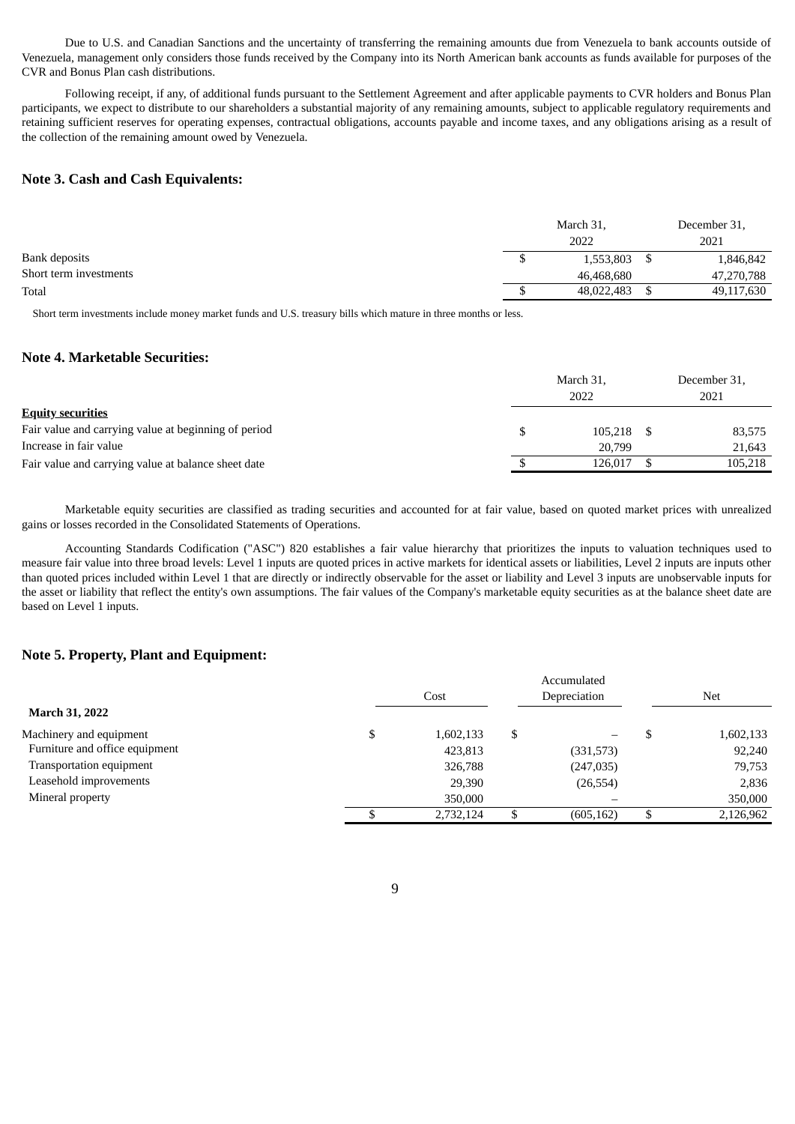Due to U.S. and Canadian Sanctions and the uncertainty of transferring the remaining amounts due from Venezuela to bank accounts outside of Venezuela, management only considers those funds received by the Company into its North American bank accounts as funds available for purposes of the CVR and Bonus Plan cash distributions.

Following receipt, if any, of additional funds pursuant to the Settlement Agreement and after applicable payments to CVR holders and Bonus Plan participants, we expect to distribute to our shareholders a substantial majority of any remaining amounts, subject to applicable regulatory requirements and retaining sufficient reserves for operating expenses, contractual obligations, accounts payable and income taxes, and any obligations arising as a result of the collection of the remaining amount owed by Venezuela.

### **Note 3. Cash and Cash Equivalents:**

|                        | March 31, |            |  | December 31, |
|------------------------|-----------|------------|--|--------------|
|                        |           | 2022       |  | 2021         |
| Bank deposits          |           | 1,553,803  |  | 1,846,842    |
| Short term investments |           | 46,468,680 |  | 47,270,788   |
| Total                  |           | 48,022,483 |  | 49,117,630   |

Short term investments include money market funds and U.S. treasury bills which mature in three months or less.

### **Note 4. Marketable Securities:**

|                                                      | March 31,<br>2022 |         |  | December 31,<br>2021 |  |
|------------------------------------------------------|-------------------|---------|--|----------------------|--|
| <b>Equity securities</b>                             |                   |         |  |                      |  |
| Fair value and carrying value at beginning of period |                   | 105.218 |  | 83,575               |  |
| Increase in fair value                               |                   | 20,799  |  | 21.643               |  |
| Fair value and carrying value at balance sheet date  |                   | 126.017 |  | 105,218              |  |
|                                                      |                   |         |  |                      |  |

Marketable equity securities are classified as trading securities and accounted for at fair value, based on quoted market prices with unrealized gains or losses recorded in the Consolidated Statements of Operations.

Accounting Standards Codification ("ASC") 820 establishes a fair value hierarchy that prioritizes the inputs to valuation techniques used to measure fair value into three broad levels: Level 1 inputs are quoted prices in active markets for identical assets or liabilities, Level 2 inputs are inputs other than quoted prices included within Level 1 that are directly or indirectly observable for the asset or liability and Level 3 inputs are unobservable inputs for the asset or liability that reflect the entity's own assumptions. The fair values of the Company's marketable equity securities as at the balance sheet date are based on Level 1 inputs.

## **Note 5. Property, Plant and Equipment:**

|                                | Accumulated |           |   |              |   |            |
|--------------------------------|-------------|-----------|---|--------------|---|------------|
|                                | Cost        |           |   | Depreciation |   | <b>Net</b> |
| <b>March 31, 2022</b>          |             |           |   |              |   |            |
| Machinery and equipment        |             | 1,602,133 | S | —            |   | 1,602,133  |
| Furniture and office equipment |             | 423,813   |   | (331,573)    |   | 92,240     |
| Transportation equipment       |             | 326,788   |   | (247, 035)   |   | 79,753     |
| Leasehold improvements         |             | 29,390    |   | (26, 554)    |   | 2,836      |
| Mineral property               |             | 350,000   |   |              |   | 350,000    |
|                                |             | 2.732.124 |   | (605, 162)   | S | 2,126,962  |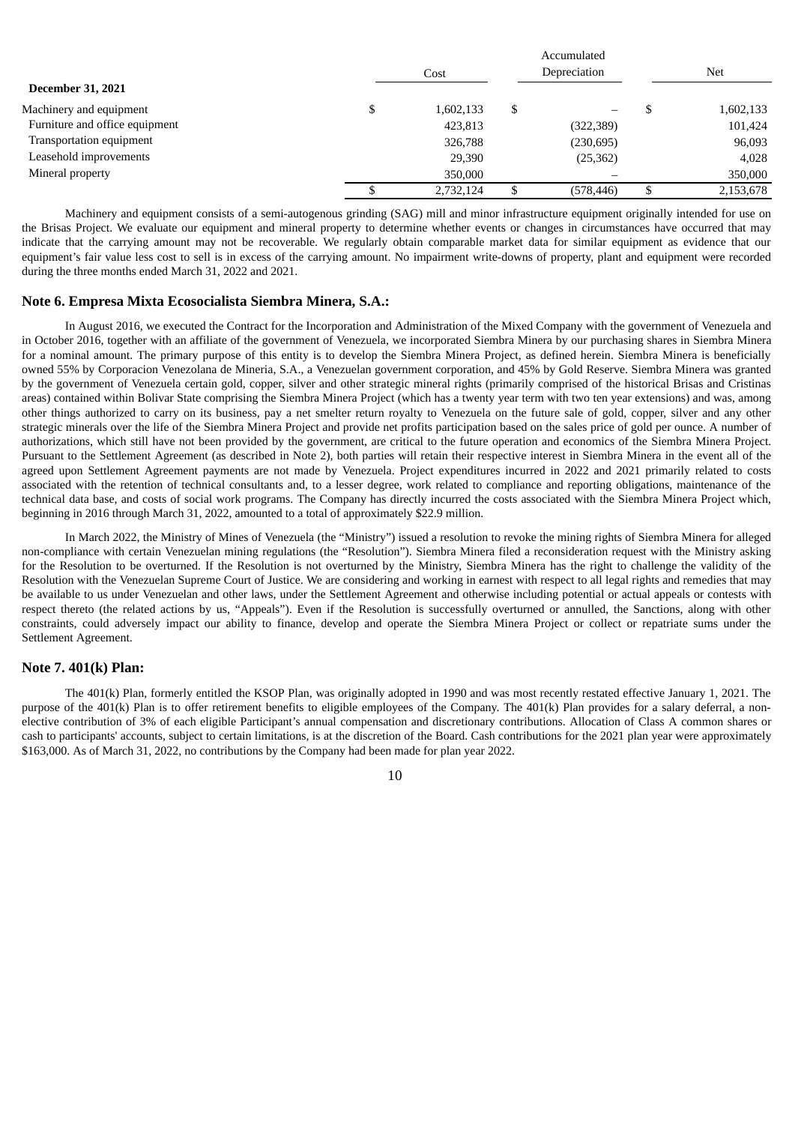|                                | Cost      |   |            | Net |           |
|--------------------------------|-----------|---|------------|-----|-----------|
| <b>December 31, 2021</b>       |           |   |            |     |           |
| Machinery and equipment        | 1,602,133 | S |            |     | 1,602,133 |
| Furniture and office equipment | 423,813   |   | (322, 389) |     | 101,424   |
| Transportation equipment       | 326,788   |   | (230, 695) |     | 96,093    |
| Leasehold improvements         | 29,390    |   | (25, 362)  |     | 4.028     |
| Mineral property               | 350,000   |   |            |     | 350,000   |
|                                | 2.732.124 |   | (578, 446) |     | 2,153,678 |

Accumulated

Machinery and equipment consists of a semi-autogenous grinding (SAG) mill and minor infrastructure equipment originally intended for use on the Brisas Project. We evaluate our equipment and mineral property to determine whether events or changes in circumstances have occurred that may indicate that the carrying amount may not be recoverable. We regularly obtain comparable market data for similar equipment as evidence that our equipment's fair value less cost to sell is in excess of the carrying amount. No impairment write-downs of property, plant and equipment were recorded during the three months ended March 31, 2022 and 2021.

#### **Note 6. Empresa Mixta Ecosocialista Siembra Minera, S.A.:**

In August 2016, we executed the Contract for the Incorporation and Administration of the Mixed Company with the government of Venezuela and in October 2016, together with an affiliate of the government of Venezuela, we incorporated Siembra Minera by our purchasing shares in Siembra Minera for a nominal amount. The primary purpose of this entity is to develop the Siembra Minera Project, as defined herein. Siembra Minera is beneficially owned 55% by Corporacion Venezolana de Mineria, S.A., a Venezuelan government corporation, and 45% by Gold Reserve. Siembra Minera was granted by the government of Venezuela certain gold, copper, silver and other strategic mineral rights (primarily comprised of the historical Brisas and Cristinas areas) contained within Bolivar State comprising the Siembra Minera Project (which has a twenty year term with two ten year extensions) and was, among other things authorized to carry on its business, pay a net smelter return royalty to Venezuela on the future sale of gold, copper, silver and any other strategic minerals over the life of the Siembra Minera Project and provide net profits participation based on the sales price of gold per ounce. A number of authorizations, which still have not been provided by the government, are critical to the future operation and economics of the Siembra Minera Project. Pursuant to the Settlement Agreement (as described in Note 2), both parties will retain their respective interest in Siembra Minera in the event all of the agreed upon Settlement Agreement payments are not made by Venezuela. Project expenditures incurred in 2022 and 2021 primarily related to costs associated with the retention of technical consultants and, to a lesser degree, work related to compliance and reporting obligations, maintenance of the technical data base, and costs of social work programs. The Company has directly incurred the costs associated with the Siembra Minera Project which, beginning in 2016 through March 31, 2022, amounted to a total of approximately \$22.9 million.

In March 2022, the Ministry of Mines of Venezuela (the "Ministry") issued a resolution to revoke the mining rights of Siembra Minera for alleged non-compliance with certain Venezuelan mining regulations (the "Resolution"). Siembra Minera filed a reconsideration request with the Ministry asking for the Resolution to be overturned. If the Resolution is not overturned by the Ministry, Siembra Minera has the right to challenge the validity of the Resolution with the Venezuelan Supreme Court of Justice. We are considering and working in earnest with respect to all legal rights and remedies that may be available to us under Venezuelan and other laws, under the Settlement Agreement and otherwise including potential or actual appeals or contests with respect thereto (the related actions by us, "Appeals"). Even if the Resolution is successfully overturned or annulled, the Sanctions, along with other constraints, could adversely impact our ability to finance, develop and operate the Siembra Minera Project or collect or repatriate sums under the Settlement Agreement.

### **Note 7. 401(k) Plan:**

The 401(k) Plan, formerly entitled the KSOP Plan, was originally adopted in 1990 and was most recently restated effective January 1, 2021. The purpose of the 401(k) Plan is to offer retirement benefits to eligible employees of the Company. The 401(k) Plan provides for a salary deferral, a nonelective contribution of 3% of each eligible Participant's annual compensation and discretionary contributions. Allocation of Class A common shares or cash to participants' accounts, subject to certain limitations, is at the discretion of the Board. Cash contributions for the 2021 plan year were approximately \$163,000. As of March 31, 2022, no contributions by the Company had been made for plan year 2022.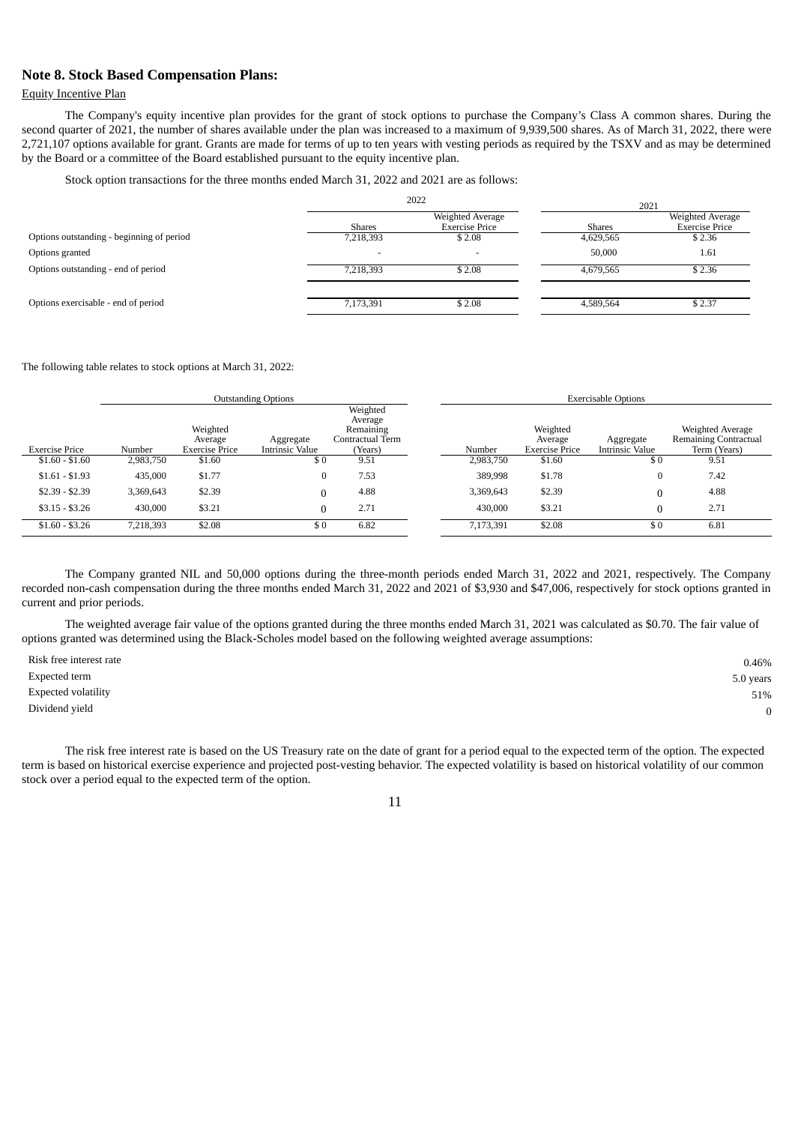### **Note 8. Stock Based Compensation Plans:**

### Equity Incentive Plan

The Company's equity incentive plan provides for the grant of stock options to purchase the Company's Class A common shares. During the second quarter of 2021, the number of shares available under the plan was increased to a maximum of 9,939,500 shares. As of March 31, 2022, there were 2,721,107 options available for grant. Grants are made for terms of up to ten years with vesting periods as required by the TSXV and as may be determined by the Board or a committee of the Board established pursuant to the equity incentive plan.

Stock option transactions for the three months ended March 31, 2022 and 2021 are as follows:

|                                           |                          | 2022                                      |               | 2021                                      |  |
|-------------------------------------------|--------------------------|-------------------------------------------|---------------|-------------------------------------------|--|
|                                           | <b>Shares</b>            | Weighted Average<br><b>Exercise Price</b> | <b>Shares</b> | Weighted Average<br><b>Exercise Price</b> |  |
| Options outstanding - beginning of period | 7,218,393                | \$2.08                                    | 4,629,565     | \$2.36                                    |  |
| Options granted                           | $\overline{\phantom{a}}$ | $\overline{\phantom{0}}$                  | 50,000        | 1.61                                      |  |
| Options outstanding - end of period       | 7,218,393                | \$2.08                                    | 4,679,565     | \$2.36                                    |  |
| Options exercisable - end of period       | 7,173,391                | \$2.08                                    | 4,589,564     | \$2.37                                    |  |

The following table relates to stock options at March 31, 2022:

|                 | <b>Outstanding Options</b> |                       |                        |                                                      | <b>Exercisable Options</b> |                     |                        |                                                  |  |
|-----------------|----------------------------|-----------------------|------------------------|------------------------------------------------------|----------------------------|---------------------|------------------------|--------------------------------------------------|--|
|                 |                            | Weighted<br>Average   | Aggregate              | Weighted<br>Average<br>Remaining<br>Contractual Term |                            | Weighted<br>Average | Aggregate              | Weighted Average<br><b>Remaining Contractual</b> |  |
| Exercise Price  | Number                     | <b>Exercise Price</b> | <b>Intrinsic Value</b> | (Years)                                              | Number                     | Exercise Price      | <b>Intrinsic Value</b> | Term (Years)                                     |  |
| $$1.60 - $1.60$ | 2,983,750                  | \$1.60                | \$0                    | 9.51                                                 | 2,983,750                  | \$1.60              | \$0                    | 9.51                                             |  |
| $$1.61 - $1.93$ | 435,000                    | \$1.77                | 0                      | 7.53                                                 | 389,998                    | \$1.78              | $\bf{0}$               | 7.42                                             |  |
| $$2.39 - $2.39$ | 3,369,643                  | \$2.39                |                        | 4.88                                                 | 3,369,643                  | \$2.39              |                        | 4.88                                             |  |
| $$3.15 - $3.26$ | 430,000                    | \$3.21                |                        | 2.71                                                 | 430,000                    | \$3.21              |                        | 2.71                                             |  |
| $$1.60 - $3.26$ | 7,218,393                  | \$2.08                | \$0                    | 6.82                                                 | 7,173,391                  | \$2.08              | \$0                    | 6.81                                             |  |

The Company granted NIL and 50,000 options during the three-month periods ended March 31, 2022 and 2021, respectively. The Company recorded non-cash compensation during the three months ended March 31, 2022 and 2021 of \$3,930 and \$47,006, respectively for stock options granted in current and prior periods.

The weighted average fair value of the options granted during the three months ended March 31, 2021 was calculated as \$0.70. The fair value of options granted was determined using the Black-Scholes model based on the following weighted average assumptions:

| Risk free interest rate    | 0.46%     |
|----------------------------|-----------|
| Expected term              | 5.0 years |
| <b>Expected volatility</b> | 51%       |
| Dividend yield             | 0         |

The risk free interest rate is based on the US Treasury rate on the date of grant for a period equal to the expected term of the option. The expected term is based on historical exercise experience and projected post-vesting behavior. The expected volatility is based on historical volatility of our common stock over a period equal to the expected term of the option.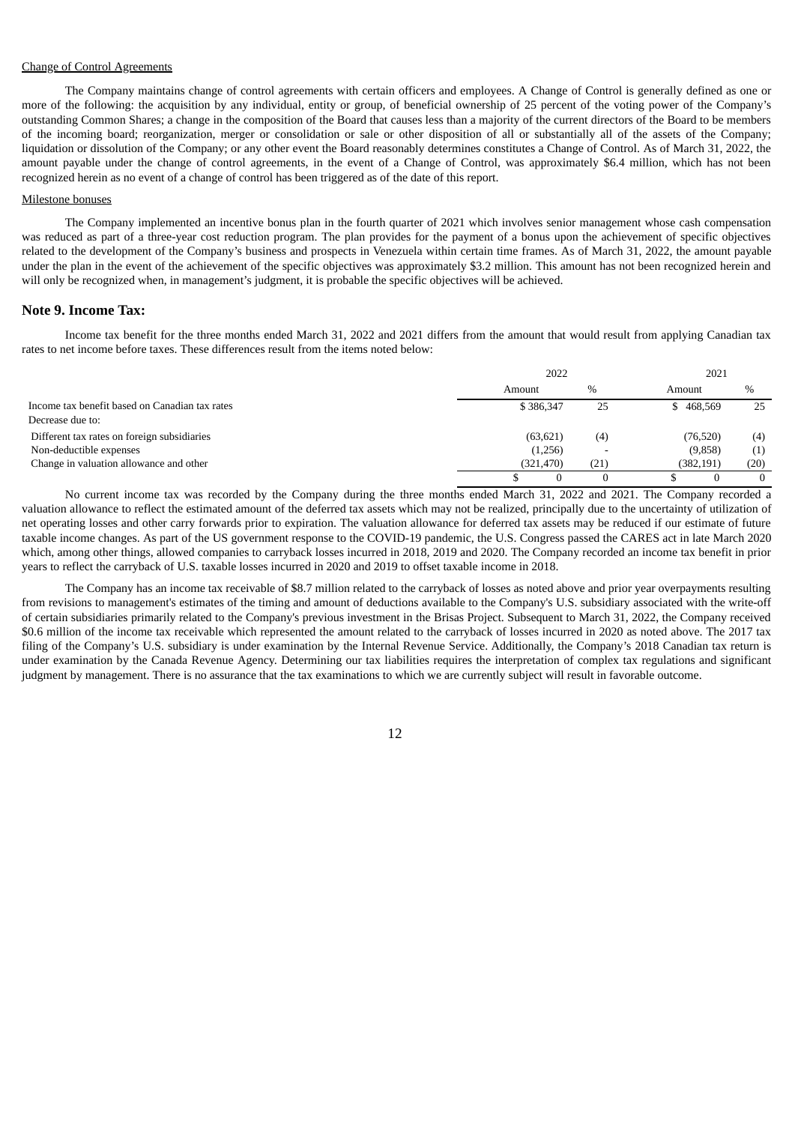#### Change of Control Agreements

The Company maintains change of control agreements with certain officers and employees. A Change of Control is generally defined as one or more of the following: the acquisition by any individual, entity or group, of beneficial ownership of 25 percent of the voting power of the Company's outstanding Common Shares; a change in the composition of the Board that causes less than a majority of the current directors of the Board to be members of the incoming board; reorganization, merger or consolidation or sale or other disposition of all or substantially all of the assets of the Company; liquidation or dissolution of the Company; or any other event the Board reasonably determines constitutes a Change of Control. As of March 31, 2022, the amount payable under the change of control agreements, in the event of a Change of Control, was approximately \$6.4 million, which has not been recognized herein as no event of a change of control has been triggered as of the date of this report.

#### Milestone bonuses

The Company implemented an incentive bonus plan in the fourth quarter of 2021 which involves senior management whose cash compensation was reduced as part of a three-year cost reduction program. The plan provides for the payment of a bonus upon the achievement of specific objectives related to the development of the Company's business and prospects in Venezuela within certain time frames. As of March 31, 2022, the amount payable under the plan in the event of the achievement of the specific objectives was approximately \$3.2 million. This amount has not been recognized herein and will only be recognized when, in management's judgment, it is probable the specific objectives will be achieved.

#### **Note 9. Income Tax:**

Income tax benefit for the three months ended March 31, 2022 and 2021 differs from the amount that would result from applying Canadian tax rates to net income before taxes. These differences result from the items noted below:

|                                                | 2022       |                          |           |      |
|------------------------------------------------|------------|--------------------------|-----------|------|
|                                                | Amount     | $\%$                     | Amount    | $\%$ |
| Income tax benefit based on Canadian tax rates | \$386,347  | 25                       | \$468,569 | 25   |
| Decrease due to:                               |            |                          |           |      |
| Different tax rates on foreign subsidiaries    | (63, 621)  | (4)                      | (76, 520) | (4)  |
| Non-deductible expenses                        | (1,256)    | $\overline{\phantom{0}}$ | (9,858)   | (1)  |
| Change in valuation allowance and other        | (321, 470) | (21)                     | (382,191) | (20) |
|                                                |            | $\Omega$                 |           | 0    |

No current income tax was recorded by the Company during the three months ended March 31, 2022 and 2021. The Company recorded a valuation allowance to reflect the estimated amount of the deferred tax assets which may not be realized, principally due to the uncertainty of utilization of net operating losses and other carry forwards prior to expiration. The valuation allowance for deferred tax assets may be reduced if our estimate of future taxable income changes. As part of the US government response to the COVID-19 pandemic, the U.S. Congress passed the CARES act in late March 2020 which, among other things, allowed companies to carryback losses incurred in 2018, 2019 and 2020. The Company recorded an income tax benefit in prior years to reflect the carryback of U.S. taxable losses incurred in 2020 and 2019 to offset taxable income in 2018.

The Company has an income tax receivable of \$8.7 million related to the carryback of losses as noted above and prior year overpayments resulting from revisions to management's estimates of the timing and amount of deductions available to the Company's U.S. subsidiary associated with the write-off of certain subsidiaries primarily related to the Company's previous investment in the Brisas Project. Subsequent to March 31, 2022, the Company received \$0.6 million of the income tax receivable which represented the amount related to the carryback of losses incurred in 2020 as noted above. The 2017 tax filing of the Company's U.S. subsidiary is under examination by the Internal Revenue Service. Additionally, the Company's 2018 Canadian tax return is under examination by the Canada Revenue Agency. Determining our tax liabilities requires the interpretation of complex tax regulations and significant judgment by management. There is no assurance that the tax examinations to which we are currently subject will result in favorable outcome.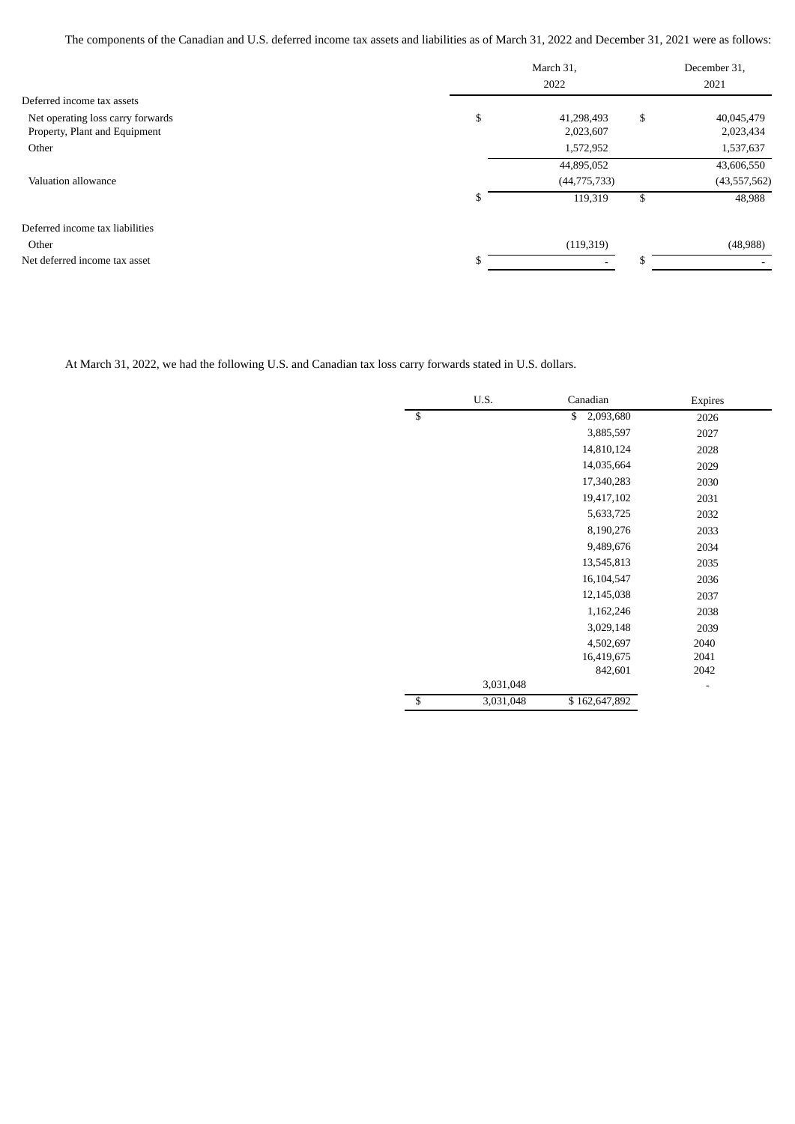The components of the Canadian and U.S. deferred income tax assets and liabilities as of March 31, 2022 and December 31, 2021 were as follows:

|                                                                    | March 31,<br>2022 |                         |    | December 31,<br>2021    |  |
|--------------------------------------------------------------------|-------------------|-------------------------|----|-------------------------|--|
| Deferred income tax assets                                         |                   |                         |    |                         |  |
| Net operating loss carry forwards<br>Property, Plant and Equipment | \$                | 41,298,493<br>2,023,607 | \$ | 40,045,479<br>2,023,434 |  |
| Other                                                              |                   | 1,572,952               |    | 1,537,637               |  |
|                                                                    |                   | 44,895,052              |    | 43,606,550              |  |
| Valuation allowance                                                |                   | (44, 775, 733)          |    | (43,557,562)            |  |
|                                                                    | S                 | 119,319                 | \$ | 48,988                  |  |
| Deferred income tax liabilities                                    |                   |                         |    |                         |  |
| Other                                                              |                   | (119, 319)              |    | (48,988)                |  |
| Net deferred income tax asset                                      | \$                |                         |    |                         |  |

At March 31, 2022, we had the following U.S. and Canadian tax loss carry forwards stated in U.S. dollars.

| U.S.            | Canadian        | <b>Expires</b> |
|-----------------|-----------------|----------------|
| \$              | \$<br>2,093,680 | 2026           |
|                 | 3,885,597       | 2027           |
|                 | 14,810,124      | 2028           |
|                 | 14,035,664      | 2029           |
|                 | 17,340,283      | 2030           |
|                 | 19,417,102      | 2031           |
|                 | 5,633,725       | 2032           |
|                 | 8,190,276       | 2033           |
|                 | 9,489,676       | 2034           |
|                 | 13,545,813      | 2035           |
|                 | 16,104,547      | 2036           |
|                 | 12,145,038      | 2037           |
|                 | 1,162,246       | 2038           |
|                 | 3,029,148       | 2039           |
|                 | 4,502,697       | 2040           |
|                 | 16,419,675      | 2041           |
|                 | 842,601         | 2042           |
| 3,031,048       |                 |                |
| \$<br>3,031,048 | \$162,647,892   |                |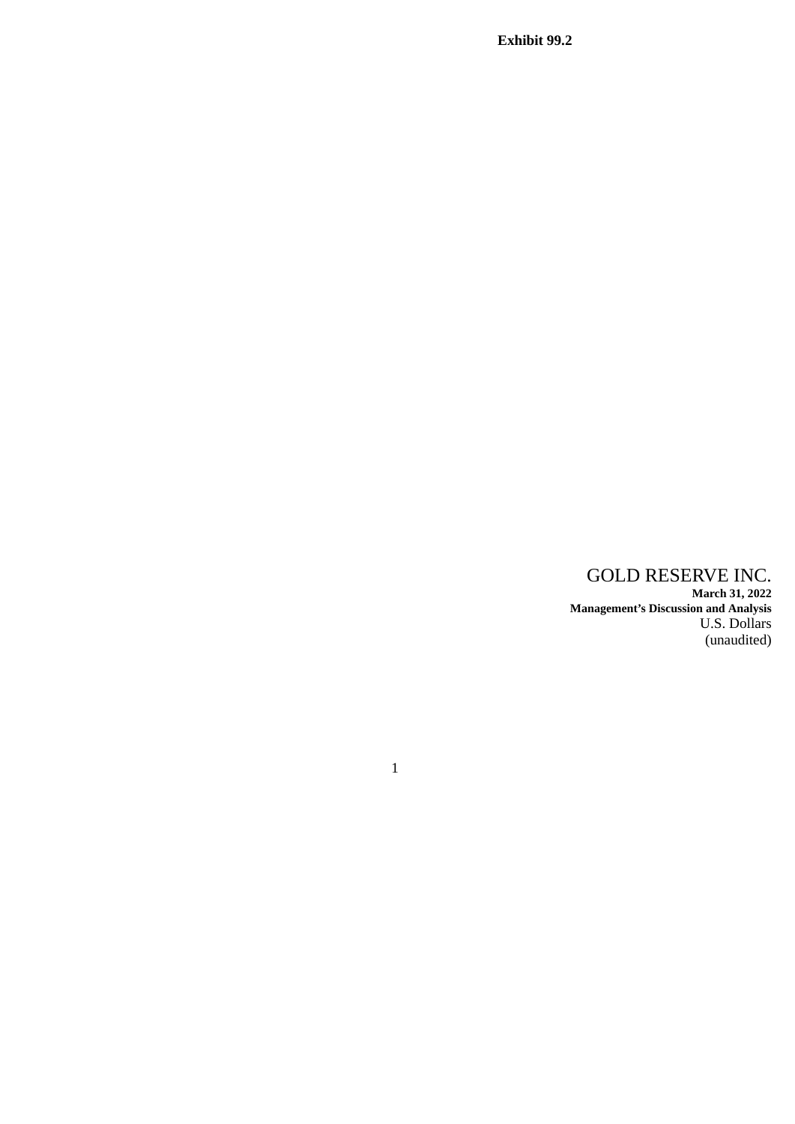**Exhibit 99.2**

## GOLD RESERVE INC. **March 31, 2022 Management's Discussion and Analysis** U.S. Dollars (unaudited)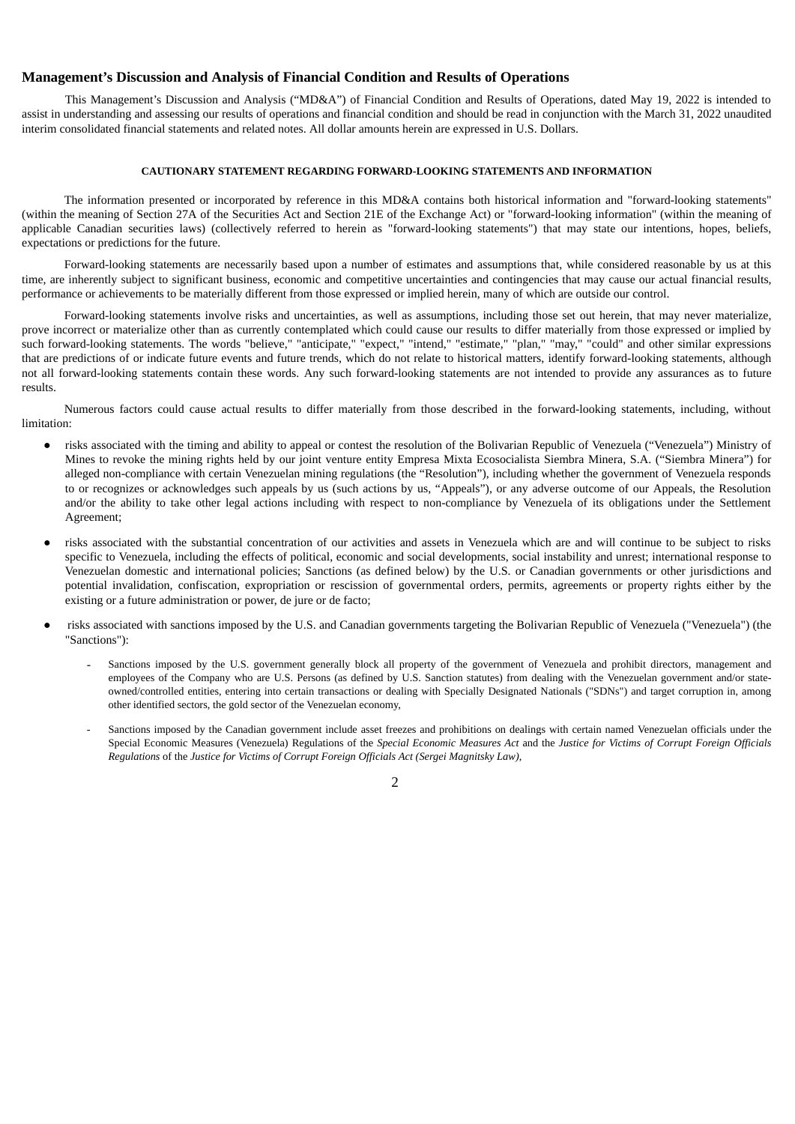### **Management's Discussion and Analysis of Financial Condition and Results of Operations**

This Management's Discussion and Analysis ("MD&A") of Financial Condition and Results of Operations, dated May 19, 2022 is intended to assist in understanding and assessing our results of operations and financial condition and should be read in conjunction with the March 31, 2022 unaudited interim consolidated financial statements and related notes. All dollar amounts herein are expressed in U.S. Dollars.

#### **CAUTIONARY STATEMENT REGARDING FORWARD-LOOKING STATEMENTS AND INFORMATION**

The information presented or incorporated by reference in this MD&A contains both historical information and "forward-looking statements" (within the meaning of Section 27A of the Securities Act and Section 21E of the Exchange Act) or "forward-looking information" (within the meaning of applicable Canadian securities laws) (collectively referred to herein as "forward-looking statements") that may state our intentions, hopes, beliefs, expectations or predictions for the future.

Forward-looking statements are necessarily based upon a number of estimates and assumptions that, while considered reasonable by us at this time, are inherently subject to significant business, economic and competitive uncertainties and contingencies that may cause our actual financial results, performance or achievements to be materially different from those expressed or implied herein, many of which are outside our control.

Forward-looking statements involve risks and uncertainties, as well as assumptions, including those set out herein, that may never materialize, prove incorrect or materialize other than as currently contemplated which could cause our results to differ materially from those expressed or implied by such forward-looking statements. The words "believe," "anticipate," "expect," "intend," "estimate," "plan," "may," "could" and other similar expressions that are predictions of or indicate future events and future trends, which do not relate to historical matters, identify forward-looking statements, although not all forward-looking statements contain these words. Any such forward-looking statements are not intended to provide any assurances as to future results.

Numerous factors could cause actual results to differ materially from those described in the forward-looking statements, including, without limitation:

- risks associated with the timing and ability to appeal or contest the resolution of the Bolivarian Republic of Venezuela ("Venezuela") Ministry of Mines to revoke the mining rights held by our joint venture entity Empresa Mixta Ecosocialista Siembra Minera, S.A. ("Siembra Minera") for alleged non-compliance with certain Venezuelan mining regulations (the "Resolution"), including whether the government of Venezuela responds to or recognizes or acknowledges such appeals by us (such actions by us, "Appeals"), or any adverse outcome of our Appeals, the Resolution and/or the ability to take other legal actions including with respect to non-compliance by Venezuela of its obligations under the Settlement Agreement;
- risks associated with the substantial concentration of our activities and assets in Venezuela which are and will continue to be subject to risks specific to Venezuela, including the effects of political, economic and social developments, social instability and unrest; international response to Venezuelan domestic and international policies; Sanctions (as defined below) by the U.S. or Canadian governments or other jurisdictions and potential invalidation, confiscation, expropriation or rescission of governmental orders, permits, agreements or property rights either by the existing or a future administration or power, de jure or de facto;
- risks associated with sanctions imposed by the U.S. and Canadian governments targeting the Bolivarian Republic of Venezuela ("Venezuela") (the "Sanctions"):
	- Sanctions imposed by the U.S. government generally block all property of the government of Venezuela and prohibit directors, management and employees of the Company who are U.S. Persons (as defined by U.S. Sanction statutes) from dealing with the Venezuelan government and/or stateowned/controlled entities, entering into certain transactions or dealing with Specially Designated Nationals ("SDNs") and target corruption in, among other identified sectors, the gold sector of the Venezuelan economy,
	- Sanctions imposed by the Canadian government include asset freezes and prohibitions on dealings with certain named Venezuelan officials under the Special Economic Measures (Venezuela) Regulations of the *Special Economic Measures Act* and the *Justice for Victims of Corrupt Foreign Officials Regulations* of the *Justice for Victims of Corrupt Foreign Officials Act (Sergei Magnitsky Law)*,

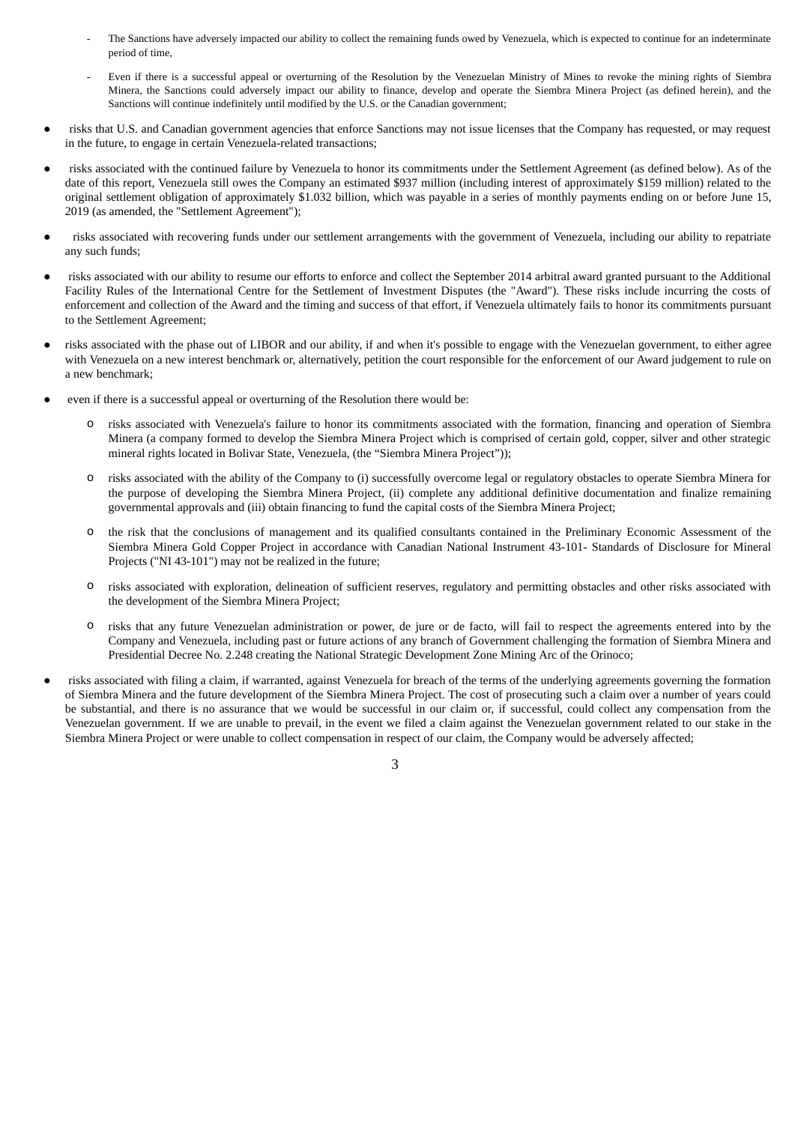- The Sanctions have adversely impacted our ability to collect the remaining funds owed by Venezuela, which is expected to continue for an indeterminate period of time,
- Even if there is a successful appeal or overturning of the Resolution by the Venezuelan Ministry of Mines to revoke the mining rights of Siembra Minera, the Sanctions could adversely impact our ability to finance, develop and operate the Siembra Minera Project (as defined herein), and the Sanctions will continue indefinitely until modified by the U.S. or the Canadian government;
- risks that U.S. and Canadian government agencies that enforce Sanctions may not issue licenses that the Company has requested, or may request in the future, to engage in certain Venezuela-related transactions;
- risks associated with the continued failure by Venezuela to honor its commitments under the Settlement Agreement (as defined below). As of the date of this report, Venezuela still owes the Company an estimated \$937 million (including interest of approximately \$159 million) related to the original settlement obligation of approximately \$1.032 billion, which was payable in a series of monthly payments ending on or before June 15, 2019 (as amended, the "Settlement Agreement");
- risks associated with recovering funds under our settlement arrangements with the government of Venezuela, including our ability to repatriate any such funds;
- risks associated with our ability to resume our efforts to enforce and collect the September 2014 arbitral award granted pursuant to the Additional Facility Rules of the International Centre for the Settlement of Investment Disputes (the "Award"). These risks include incurring the costs of enforcement and collection of the Award and the timing and success of that effort, if Venezuela ultimately fails to honor its commitments pursuant to the Settlement Agreement;
- risks associated with the phase out of LIBOR and our ability, if and when it's possible to engage with the Venezuelan government, to either agree with Venezuela on a new interest benchmark or, alternatively, petition the court responsible for the enforcement of our Award judgement to rule on a new benchmark;
- even if there is a successful appeal or overturning of the Resolution there would be:
	- o risks associated with Venezuela's failure to honor its commitments associated with the formation, financing and operation of Siembra Minera (a company formed to develop the Siembra Minera Project which is comprised of certain gold, copper, silver and other strategic mineral rights located in Bolivar State, Venezuela, (the "Siembra Minera Project"));
	- o risks associated with the ability of the Company to (i) successfully overcome legal or regulatory obstacles to operate Siembra Minera for the purpose of developing the Siembra Minera Project, (ii) complete any additional definitive documentation and finalize remaining governmental approvals and (iii) obtain financing to fund the capital costs of the Siembra Minera Project;
	- the risk that the conclusions of management and its qualified consultants contained in the Preliminary Economic Assessment of the Siembra Minera Gold Copper Project in accordance with Canadian National Instrument 43-101- Standards of Disclosure for Mineral Projects ("NI 43-101") may not be realized in the future;
	- o risks associated with exploration, delineation of sufficient reserves, regulatory and permitting obstacles and other risks associated with the development of the Siembra Minera Project;
	- o risks that any future Venezuelan administration or power, de jure or de facto, will fail to respect the agreements entered into by the Company and Venezuela, including past or future actions of any branch of Government challenging the formation of Siembra Minera and Presidential Decree No. 2.248 creating the National Strategic Development Zone Mining Arc of the Orinoco;
- risks associated with filing a claim, if warranted, against Venezuela for breach of the terms of the underlying agreements governing the formation of Siembra Minera and the future development of the Siembra Minera Project. The cost of prosecuting such a claim over a number of years could be substantial, and there is no assurance that we would be successful in our claim or, if successful, could collect any compensation from the Venezuelan government. If we are unable to prevail, in the event we filed a claim against the Venezuelan government related to our stake in the Siembra Minera Project or were unable to collect compensation in respect of our claim, the Company would be adversely affected;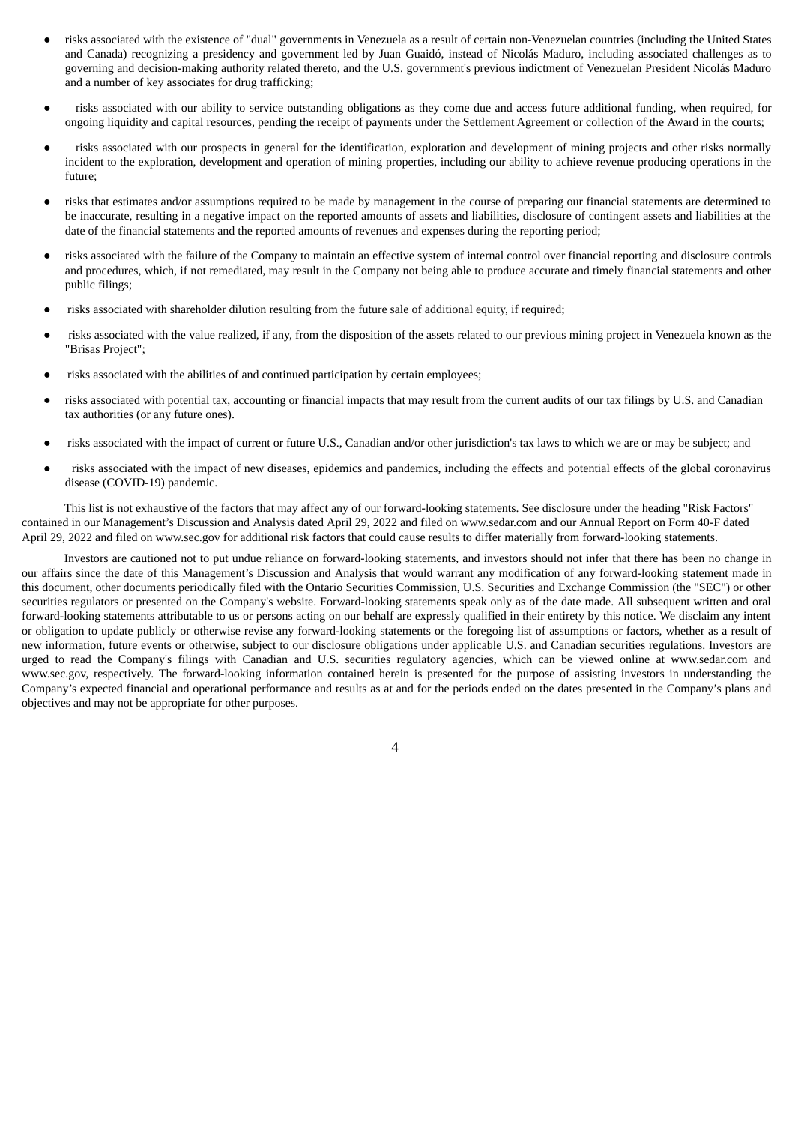- risks associated with the existence of "dual" governments in Venezuela as a result of certain non-Venezuelan countries (including the United States and Canada) recognizing a presidency and government led by Juan Guaidó, instead of Nicolás Maduro, including associated challenges as to governing and decision-making authority related thereto, and the U.S. government's previous indictment of Venezuelan President Nicolás Maduro and a number of key associates for drug trafficking;
- risks associated with our ability to service outstanding obligations as they come due and access future additional funding, when required, for ongoing liquidity and capital resources, pending the receipt of payments under the Settlement Agreement or collection of the Award in the courts;
- risks associated with our prospects in general for the identification, exploration and development of mining projects and other risks normally incident to the exploration, development and operation of mining properties, including our ability to achieve revenue producing operations in the future;
- risks that estimates and/or assumptions required to be made by management in the course of preparing our financial statements are determined to be inaccurate, resulting in a negative impact on the reported amounts of assets and liabilities, disclosure of contingent assets and liabilities at the date of the financial statements and the reported amounts of revenues and expenses during the reporting period;
- risks associated with the failure of the Company to maintain an effective system of internal control over financial reporting and disclosure controls and procedures, which, if not remediated, may result in the Company not being able to produce accurate and timely financial statements and other public filings;
- risks associated with shareholder dilution resulting from the future sale of additional equity, if required;
- risks associated with the value realized, if any, from the disposition of the assets related to our previous mining project in Venezuela known as the "Brisas Project";
- risks associated with the abilities of and continued participation by certain employees;
- risks associated with potential tax, accounting or financial impacts that may result from the current audits of our tax filings by U.S. and Canadian tax authorities (or any future ones).
- risks associated with the impact of current or future U.S., Canadian and/or other jurisdiction's tax laws to which we are or may be subject; and
- risks associated with the impact of new diseases, epidemics and pandemics, including the effects and potential effects of the global coronavirus disease (COVID-19) pandemic.

This list is not exhaustive of the factors that may affect any of our forward-looking statements. See disclosure under the heading "Risk Factors" contained in our Management's Discussion and Analysis dated April 29, 2022 and filed on www.sedar.com and our Annual Report on Form 40-F dated April 29, 2022 and filed on www.sec.gov for additional risk factors that could cause results to differ materially from forward-looking statements.

Investors are cautioned not to put undue reliance on forward-looking statements, and investors should not infer that there has been no change in our affairs since the date of this Management's Discussion and Analysis that would warrant any modification of any forward-looking statement made in this document, other documents periodically filed with the Ontario Securities Commission, U.S. Securities and Exchange Commission (the "SEC") or other securities regulators or presented on the Company's website. Forward-looking statements speak only as of the date made. All subsequent written and oral forward-looking statements attributable to us or persons acting on our behalf are expressly qualified in their entirety by this notice. We disclaim any intent or obligation to update publicly or otherwise revise any forward-looking statements or the foregoing list of assumptions or factors, whether as a result of new information, future events or otherwise, subject to our disclosure obligations under applicable U.S. and Canadian securities regulations. Investors are urged to read the Company's filings with Canadian and U.S. securities regulatory agencies, which can be viewed online at www.sedar.com and www.sec.gov, respectively. The forward-looking information contained herein is presented for the purpose of assisting investors in understanding the Company's expected financial and operational performance and results as at and for the periods ended on the dates presented in the Company's plans and objectives and may not be appropriate for other purposes.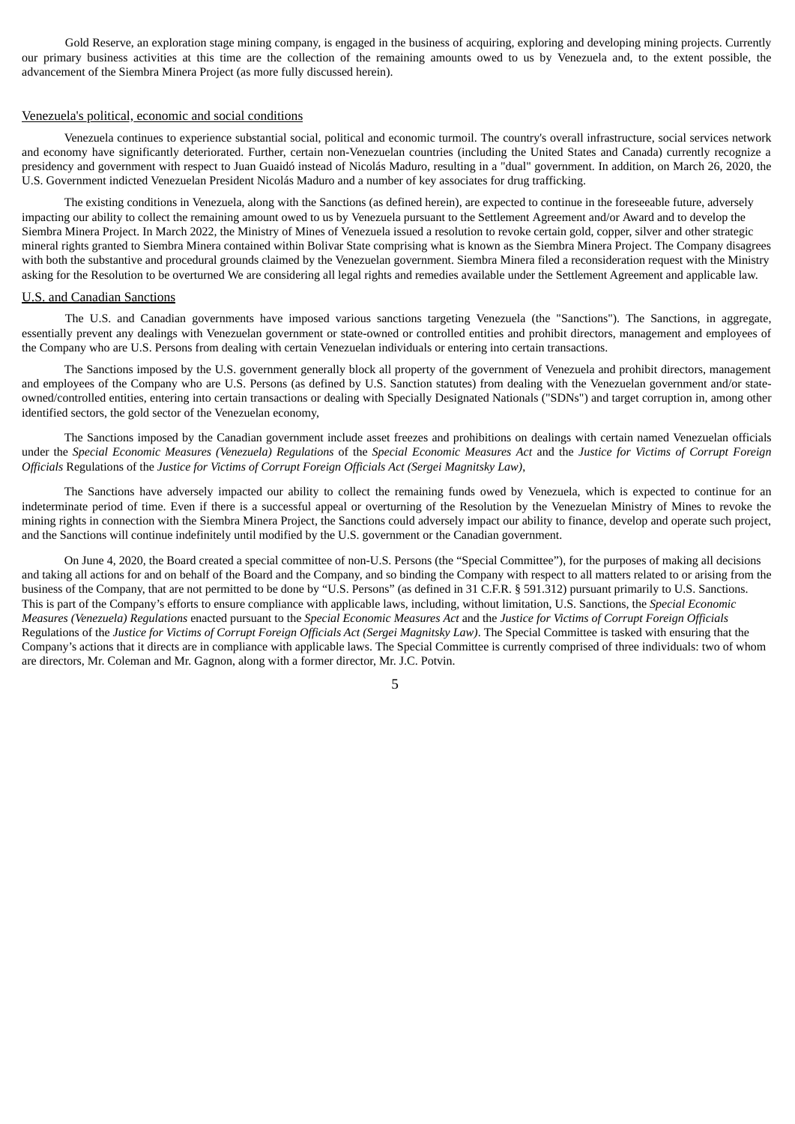Gold Reserve, an exploration stage mining company, is engaged in the business of acquiring, exploring and developing mining projects. Currently our primary business activities at this time are the collection of the remaining amounts owed to us by Venezuela and, to the extent possible, the advancement of the Siembra Minera Project (as more fully discussed herein).

#### Venezuela's political, economic and social conditions

Venezuela continues to experience substantial social, political and economic turmoil. The country's overall infrastructure, social services network and economy have significantly deteriorated. Further, certain non-Venezuelan countries (including the United States and Canada) currently recognize a presidency and government with respect to Juan Guaidó instead of Nicolás Maduro, resulting in a "dual" government. In addition, on March 26, 2020, the U.S. Government indicted Venezuelan President Nicolás Maduro and a number of key associates for drug trafficking.

The existing conditions in Venezuela, along with the Sanctions (as defined herein), are expected to continue in the foreseeable future, adversely impacting our ability to collect the remaining amount owed to us by Venezuela pursuant to the Settlement Agreement and/or Award and to develop the Siembra Minera Project. In March 2022, the Ministry of Mines of Venezuela issued a resolution to revoke certain gold, copper, silver and other strategic mineral rights granted to Siembra Minera contained within Bolivar State comprising what is known as the Siembra Minera Project. The Company disagrees with both the substantive and procedural grounds claimed by the Venezuelan government. Siembra Minera filed a reconsideration request with the Ministry asking for the Resolution to be overturned We are considering all legal rights and remedies available under the Settlement Agreement and applicable law.

#### U.S. and Canadian Sanctions

The U.S. and Canadian governments have imposed various sanctions targeting Venezuela (the "Sanctions"). The Sanctions, in aggregate, essentially prevent any dealings with Venezuelan government or state-owned or controlled entities and prohibit directors, management and employees of the Company who are U.S. Persons from dealing with certain Venezuelan individuals or entering into certain transactions.

The Sanctions imposed by the U.S. government generally block all property of the government of Venezuela and prohibit directors, management and employees of the Company who are U.S. Persons (as defined by U.S. Sanction statutes) from dealing with the Venezuelan government and/or stateowned/controlled entities, entering into certain transactions or dealing with Specially Designated Nationals ("SDNs") and target corruption in, among other identified sectors, the gold sector of the Venezuelan economy,

The Sanctions imposed by the Canadian government include asset freezes and prohibitions on dealings with certain named Venezuelan officials under the Special Economic Measures (Venezuela) Regulations of the Special Economic Measures Act and the Justice for Victims of Corrupt Foreign *Officials* Regulations of the *Justice for Victims of Corrupt Foreign Officials Act (Sergei Magnitsky Law)*,

The Sanctions have adversely impacted our ability to collect the remaining funds owed by Venezuela, which is expected to continue for an indeterminate period of time. Even if there is a successful appeal or overturning of the Resolution by the Venezuelan Ministry of Mines to revoke the mining rights in connection with the Siembra Minera Project, the Sanctions could adversely impact our ability to finance, develop and operate such project, and the Sanctions will continue indefinitely until modified by the U.S. government or the Canadian government.

On June 4, 2020, the Board created a special committee of non-U.S. Persons (the "Special Committee"), for the purposes of making all decisions and taking all actions for and on behalf of the Board and the Company, and so binding the Company with respect to all matters related to or arising from the business of the Company, that are not permitted to be done by "U.S. Persons" (as defined in 31 C.F.R. § 591.312) pursuant primarily to U.S. Sanctions. This is part of the Company's efforts to ensure compliance with applicable laws, including, without limitation, U.S. Sanctions, the *Special Economic* Measures (Venezuela) Regulations enacted pursuant to the Special Economic Measures Act and the Justice for Victims of Corrupt Foreign Officials Regulations of the Justice for Victims of Corrupt Foreign Officials Act (Sergei Magnitsky Law). The Special Committee is tasked with ensuring that the Company's actions that it directs are in compliance with applicable laws. The Special Committee is currently comprised of three individuals: two of whom are directors, Mr. Coleman and Mr. Gagnon, along with a former director, Mr. J.C. Potvin.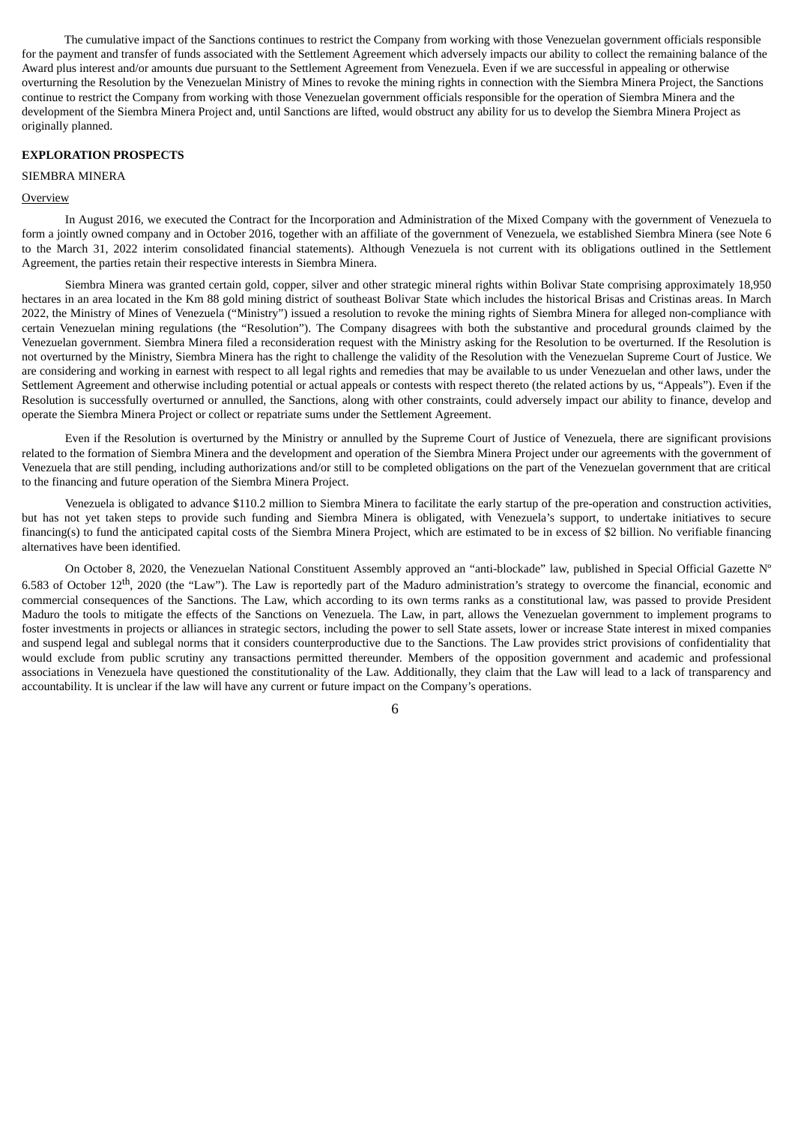The cumulative impact of the Sanctions continues to restrict the Company from working with those Venezuelan government officials responsible for the payment and transfer of funds associated with the Settlement Agreement which adversely impacts our ability to collect the remaining balance of the Award plus interest and/or amounts due pursuant to the Settlement Agreement from Venezuela. Even if we are successful in appealing or otherwise overturning the Resolution by the Venezuelan Ministry of Mines to revoke the mining rights in connection with the Siembra Minera Project, the Sanctions continue to restrict the Company from working with those Venezuelan government officials responsible for the operation of Siembra Minera and the development of the Siembra Minera Project and, until Sanctions are lifted, would obstruct any ability for us to develop the Siembra Minera Project as originally planned.

### **EXPLORATION PROSPECTS**

### SIEMBRA MINERA

#### **Overview**

In August 2016, we executed the Contract for the Incorporation and Administration of the Mixed Company with the government of Venezuela to form a jointly owned company and in October 2016, together with an affiliate of the government of Venezuela, we established Siembra Minera (see Note 6 to the March 31, 2022 interim consolidated financial statements). Although Venezuela is not current with its obligations outlined in the Settlement Agreement, the parties retain their respective interests in Siembra Minera.

Siembra Minera was granted certain gold, copper, silver and other strategic mineral rights within Bolivar State comprising approximately 18,950 hectares in an area located in the Km 88 gold mining district of southeast Bolivar State which includes the historical Brisas and Cristinas areas. In March 2022, the Ministry of Mines of Venezuela ("Ministry") issued a resolution to revoke the mining rights of Siembra Minera for alleged non-compliance with certain Venezuelan mining regulations (the "Resolution"). The Company disagrees with both the substantive and procedural grounds claimed by the Venezuelan government. Siembra Minera filed a reconsideration request with the Ministry asking for the Resolution to be overturned. If the Resolution is not overturned by the Ministry, Siembra Minera has the right to challenge the validity of the Resolution with the Venezuelan Supreme Court of Justice. We are considering and working in earnest with respect to all legal rights and remedies that may be available to us under Venezuelan and other laws, under the Settlement Agreement and otherwise including potential or actual appeals or contests with respect thereto (the related actions by us, "Appeals"). Even if the Resolution is successfully overturned or annulled, the Sanctions, along with other constraints, could adversely impact our ability to finance, develop and operate the Siembra Minera Project or collect or repatriate sums under the Settlement Agreement.

Even if the Resolution is overturned by the Ministry or annulled by the Supreme Court of Justice of Venezuela, there are significant provisions related to the formation of Siembra Minera and the development and operation of the Siembra Minera Project under our agreements with the government of Venezuela that are still pending, including authorizations and/or still to be completed obligations on the part of the Venezuelan government that are critical to the financing and future operation of the Siembra Minera Project.

Venezuela is obligated to advance \$110.2 million to Siembra Minera to facilitate the early startup of the pre-operation and construction activities, but has not yet taken steps to provide such funding and Siembra Minera is obligated, with Venezuela's support, to undertake initiatives to secure financing(s) to fund the anticipated capital costs of the Siembra Minera Project, which are estimated to be in excess of \$2 billion. No verifiable financing alternatives have been identified.

On October 8, 2020, the Venezuelan National Constituent Assembly approved an "anti-blockade" law, published in Special Official Gazette Nº 6.583 of October 12<sup>th</sup>, 2020 (the "Law"). The Law is reportedly part of the Maduro administration's strategy to overcome the financial, economic and commercial consequences of the Sanctions. The Law, which according to its own terms ranks as a constitutional law, was passed to provide President Maduro the tools to mitigate the effects of the Sanctions on Venezuela. The Law, in part, allows the Venezuelan government to implement programs to foster investments in projects or alliances in strategic sectors, including the power to sell State assets, lower or increase State interest in mixed companies and suspend legal and sublegal norms that it considers counterproductive due to the Sanctions. The Law provides strict provisions of confidentiality that would exclude from public scrutiny any transactions permitted thereunder. Members of the opposition government and academic and professional associations in Venezuela have questioned the constitutionality of the Law. Additionally, they claim that the Law will lead to a lack of transparency and accountability. It is unclear if the law will have any current or future impact on the Company's operations.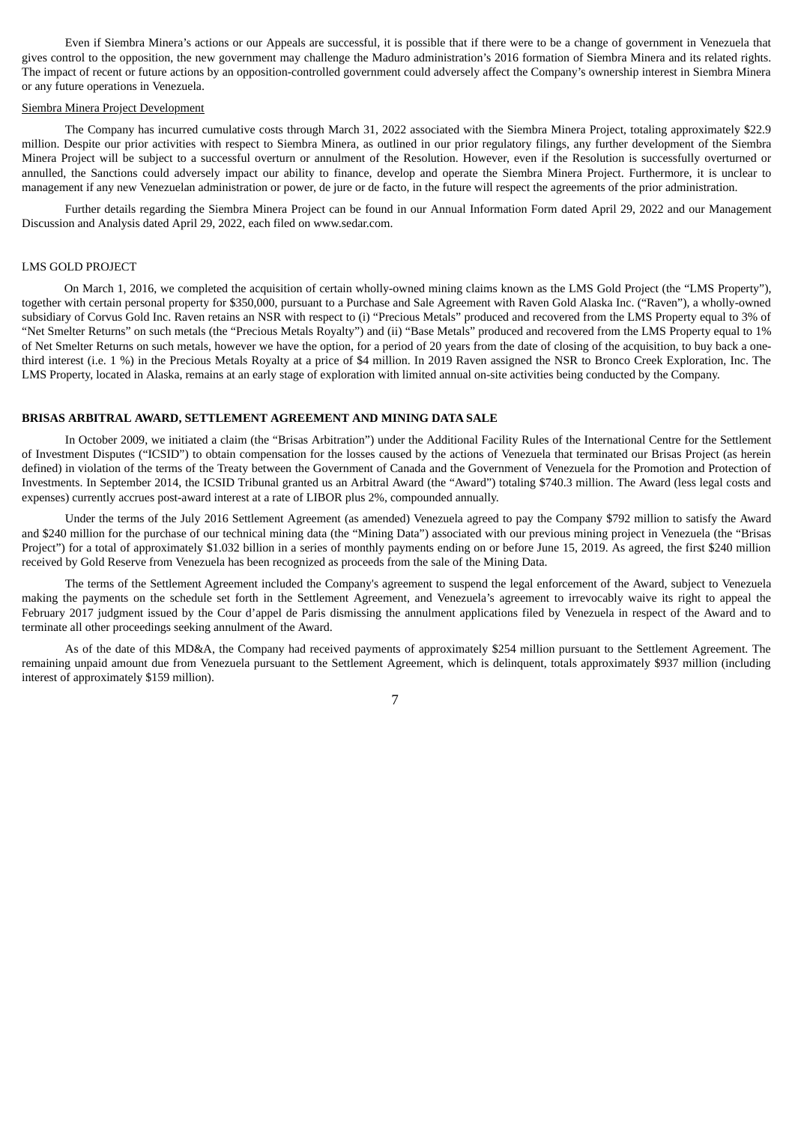Even if Siembra Minera's actions or our Appeals are successful, it is possible that if there were to be a change of government in Venezuela that gives control to the opposition, the new government may challenge the Maduro administration's 2016 formation of Siembra Minera and its related rights. The impact of recent or future actions by an opposition-controlled government could adversely affect the Company's ownership interest in Siembra Minera or any future operations in Venezuela.

#### Siembra Minera Project Development

The Company has incurred cumulative costs through March 31, 2022 associated with the Siembra Minera Project, totaling approximately \$22.9 million. Despite our prior activities with respect to Siembra Minera, as outlined in our prior regulatory filings, any further development of the Siembra Minera Project will be subject to a successful overturn or annulment of the Resolution. However, even if the Resolution is successfully overturned or annulled, the Sanctions could adversely impact our ability to finance, develop and operate the Siembra Minera Project. Furthermore, it is unclear to management if any new Venezuelan administration or power, de jure or de facto, in the future will respect the agreements of the prior administration.

Further details regarding the Siembra Minera Project can be found in our Annual Information Form dated April 29, 2022 and our Management Discussion and Analysis dated April 29, 2022, each filed on www.sedar.com.

#### LMS GOLD PROJECT

On March 1, 2016, we completed the acquisition of certain wholly-owned mining claims known as the LMS Gold Project (the "LMS Property"), together with certain personal property for \$350,000, pursuant to a Purchase and Sale Agreement with Raven Gold Alaska Inc. ("Raven"), a wholly-owned subsidiary of Corvus Gold Inc. Raven retains an NSR with respect to (i) "Precious Metals" produced and recovered from the LMS Property equal to 3% of "Net Smelter Returns" on such metals (the "Precious Metals Royalty") and (ii) "Base Metals" produced and recovered from the LMS Property equal to 1% of Net Smelter Returns on such metals, however we have the option, for a period of 20 years from the date of closing of the acquisition, to buy back a onethird interest (i.e. 1 %) in the Precious Metals Royalty at a price of \$4 million. In 2019 Raven assigned the NSR to Bronco Creek Exploration, Inc. The LMS Property, located in Alaska, remains at an early stage of exploration with limited annual on-site activities being conducted by the Company.

#### **BRISAS ARBITRAL AWARD, SETTLEMENT AGREEMENT AND MINING DATA SALE**

In October 2009, we initiated a claim (the "Brisas Arbitration") under the Additional Facility Rules of the International Centre for the Settlement of Investment Disputes ("ICSID") to obtain compensation for the losses caused by the actions of Venezuela that terminated our Brisas Project (as herein defined) in violation of the terms of the Treaty between the Government of Canada and the Government of Venezuela for the Promotion and Protection of Investments. In September 2014, the ICSID Tribunal granted us an Arbitral Award (the "Award") totaling \$740.3 million. The Award (less legal costs and expenses) currently accrues post-award interest at a rate of LIBOR plus 2%, compounded annually.

Under the terms of the July 2016 Settlement Agreement (as amended) Venezuela agreed to pay the Company \$792 million to satisfy the Award and \$240 million for the purchase of our technical mining data (the "Mining Data") associated with our previous mining project in Venezuela (the "Brisas Project") for a total of approximately \$1.032 billion in a series of monthly payments ending on or before June 15, 2019. As agreed, the first \$240 million received by Gold Reserve from Venezuela has been recognized as proceeds from the sale of the Mining Data.

The terms of the Settlement Agreement included the Company's agreement to suspend the legal enforcement of the Award, subject to Venezuela making the payments on the schedule set forth in the Settlement Agreement, and Venezuela's agreement to irrevocably waive its right to appeal the February 2017 judgment issued by the Cour d'appel de Paris dismissing the annulment applications filed by Venezuela in respect of the Award and to terminate all other proceedings seeking annulment of the Award.

As of the date of this MD&A, the Company had received payments of approximately \$254 million pursuant to the Settlement Agreement. The remaining unpaid amount due from Venezuela pursuant to the Settlement Agreement, which is delinquent, totals approximately \$937 million (including interest of approximately \$159 million).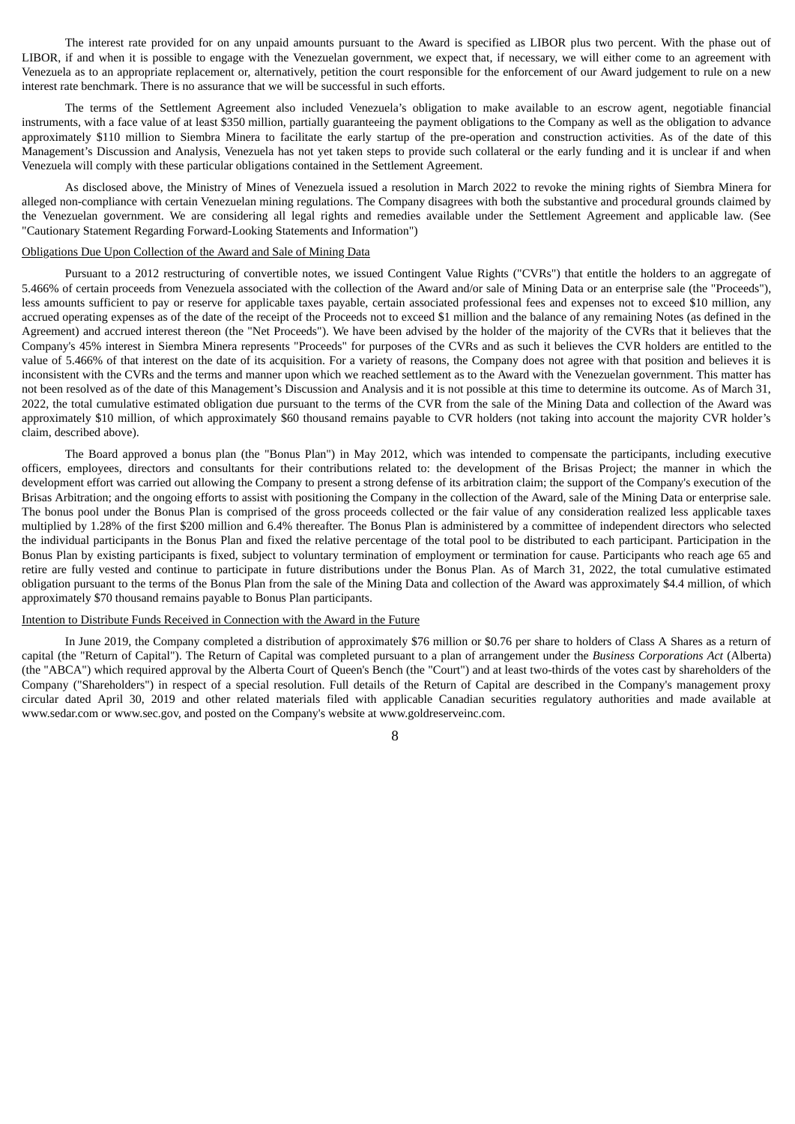The interest rate provided for on any unpaid amounts pursuant to the Award is specified as LIBOR plus two percent. With the phase out of LIBOR, if and when it is possible to engage with the Venezuelan government, we expect that, if necessary, we will either come to an agreement with Venezuela as to an appropriate replacement or, alternatively, petition the court responsible for the enforcement of our Award judgement to rule on a new interest rate benchmark. There is no assurance that we will be successful in such efforts.

The terms of the Settlement Agreement also included Venezuela's obligation to make available to an escrow agent, negotiable financial instruments, with a face value of at least \$350 million, partially guaranteeing the payment obligations to the Company as well as the obligation to advance approximately \$110 million to Siembra Minera to facilitate the early startup of the pre-operation and construction activities. As of the date of this Management's Discussion and Analysis, Venezuela has not yet taken steps to provide such collateral or the early funding and it is unclear if and when Venezuela will comply with these particular obligations contained in the Settlement Agreement.

As disclosed above, the Ministry of Mines of Venezuela issued a resolution in March 2022 to revoke the mining rights of Siembra Minera for alleged non-compliance with certain Venezuelan mining regulations. The Company disagrees with both the substantive and procedural grounds claimed by the Venezuelan government. We are considering all legal rights and remedies available under the Settlement Agreement and applicable law. (See "Cautionary Statement Regarding Forward-Looking Statements and Information")

#### Obligations Due Upon Collection of the Award and Sale of Mining Data

Pursuant to a 2012 restructuring of convertible notes, we issued Contingent Value Rights ("CVRs") that entitle the holders to an aggregate of 5.466% of certain proceeds from Venezuela associated with the collection of the Award and/or sale of Mining Data or an enterprise sale (the "Proceeds"), less amounts sufficient to pay or reserve for applicable taxes payable, certain associated professional fees and expenses not to exceed \$10 million, any accrued operating expenses as of the date of the receipt of the Proceeds not to exceed \$1 million and the balance of any remaining Notes (as defined in the Agreement) and accrued interest thereon (the "Net Proceeds"). We have been advised by the holder of the majority of the CVRs that it believes that the Company's 45% interest in Siembra Minera represents "Proceeds" for purposes of the CVRs and as such it believes the CVR holders are entitled to the value of 5.466% of that interest on the date of its acquisition. For a variety of reasons, the Company does not agree with that position and believes it is inconsistent with the CVRs and the terms and manner upon which we reached settlement as to the Award with the Venezuelan government. This matter has not been resolved as of the date of this Management's Discussion and Analysis and it is not possible at this time to determine its outcome. As of March 31, 2022, the total cumulative estimated obligation due pursuant to the terms of the CVR from the sale of the Mining Data and collection of the Award was approximately \$10 million, of which approximately \$60 thousand remains payable to CVR holders (not taking into account the majority CVR holder's claim, described above).

The Board approved a bonus plan (the "Bonus Plan") in May 2012, which was intended to compensate the participants, including executive officers, employees, directors and consultants for their contributions related to: the development of the Brisas Project; the manner in which the development effort was carried out allowing the Company to present a strong defense of its arbitration claim; the support of the Company's execution of the Brisas Arbitration; and the ongoing efforts to assist with positioning the Company in the collection of the Award, sale of the Mining Data or enterprise sale. The bonus pool under the Bonus Plan is comprised of the gross proceeds collected or the fair value of any consideration realized less applicable taxes multiplied by 1.28% of the first \$200 million and 6.4% thereafter. The Bonus Plan is administered by a committee of independent directors who selected the individual participants in the Bonus Plan and fixed the relative percentage of the total pool to be distributed to each participant. Participation in the Bonus Plan by existing participants is fixed, subject to voluntary termination of employment or termination for cause. Participants who reach age 65 and retire are fully vested and continue to participate in future distributions under the Bonus Plan. As of March 31, 2022, the total cumulative estimated obligation pursuant to the terms of the Bonus Plan from the sale of the Mining Data and collection of the Award was approximately \$4.4 million, of which approximately \$70 thousand remains payable to Bonus Plan participants.

#### Intention to Distribute Funds Received in Connection with the Award in the Future

In June 2019, the Company completed a distribution of approximately \$76 million or \$0.76 per share to holders of Class A Shares as a return of capital (the "Return of Capital"). The Return of Capital was completed pursuant to a plan of arrangement under the *Business Corporations Act* (Alberta) (the "ABCA") which required approval by the Alberta Court of Queen's Bench (the "Court") and at least two-thirds of the votes cast by shareholders of the Company ("Shareholders") in respect of a special resolution. Full details of the Return of Capital are described in the Company's management proxy circular dated April 30, 2019 and other related materials filed with applicable Canadian securities regulatory authorities and made available at www.sedar.com or www.sec.gov, and posted on the Company's website at www.goldreserveinc.com.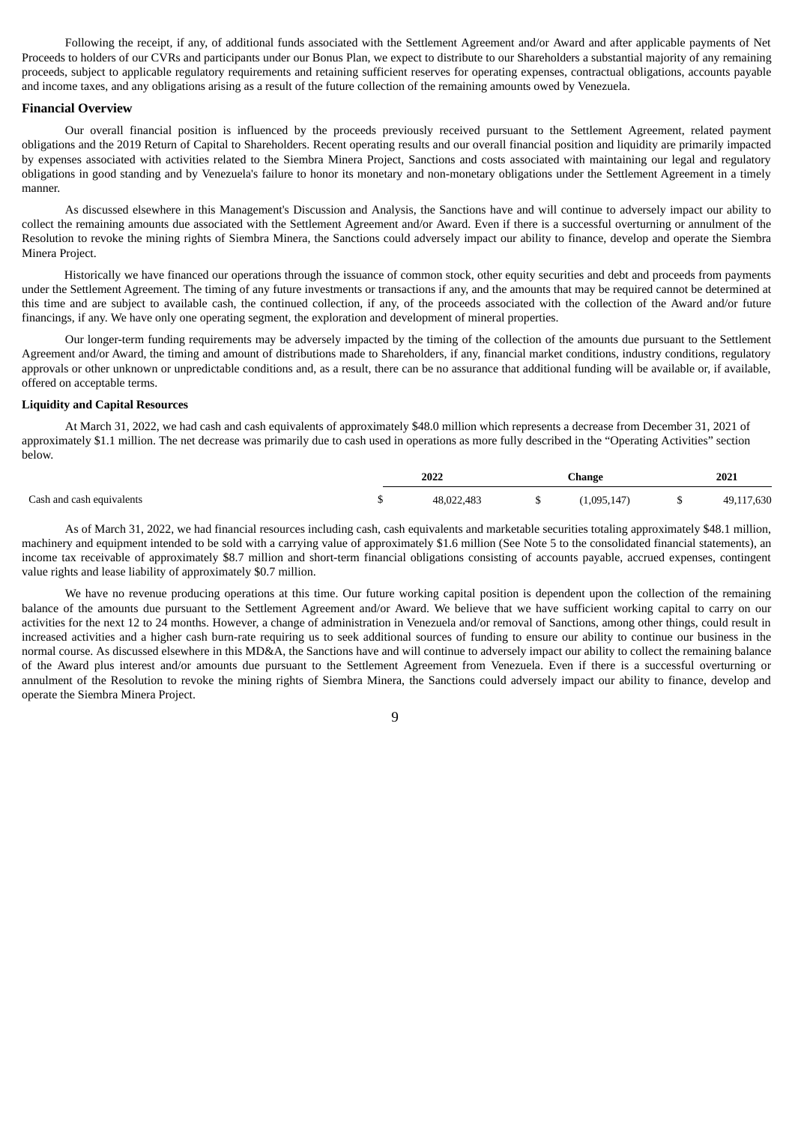Following the receipt, if any, of additional funds associated with the Settlement Agreement and/or Award and after applicable payments of Net Proceeds to holders of our CVRs and participants under our Bonus Plan, we expect to distribute to our Shareholders a substantial majority of any remaining proceeds, subject to applicable regulatory requirements and retaining sufficient reserves for operating expenses, contractual obligations, accounts payable and income taxes, and any obligations arising as a result of the future collection of the remaining amounts owed by Venezuela.

#### **Financial Overview**

Our overall financial position is influenced by the proceeds previously received pursuant to the Settlement Agreement, related payment obligations and the 2019 Return of Capital to Shareholders. Recent operating results and our overall financial position and liquidity are primarily impacted by expenses associated with activities related to the Siembra Minera Project, Sanctions and costs associated with maintaining our legal and regulatory obligations in good standing and by Venezuela's failure to honor its monetary and non-monetary obligations under the Settlement Agreement in a timely manner.

As discussed elsewhere in this Management's Discussion and Analysis, the Sanctions have and will continue to adversely impact our ability to collect the remaining amounts due associated with the Settlement Agreement and/or Award. Even if there is a successful overturning or annulment of the Resolution to revoke the mining rights of Siembra Minera, the Sanctions could adversely impact our ability to finance, develop and operate the Siembra Minera Project.

Historically we have financed our operations through the issuance of common stock, other equity securities and debt and proceeds from payments under the Settlement Agreement. The timing of any future investments or transactions if any, and the amounts that may be required cannot be determined at this time and are subject to available cash, the continued collection, if any, of the proceeds associated with the collection of the Award and/or future financings, if any. We have only one operating segment, the exploration and development of mineral properties.

Our longer-term funding requirements may be adversely impacted by the timing of the collection of the amounts due pursuant to the Settlement Agreement and/or Award, the timing and amount of distributions made to Shareholders, if any, financial market conditions, industry conditions, regulatory approvals or other unknown or unpredictable conditions and, as a result, there can be no assurance that additional funding will be available or, if available, offered on acceptable terms.

#### **Liquidity and Capital Resources**

At March 31, 2022, we had cash and cash equivalents of approximately \$48.0 million which represents a decrease from December 31, 2021 of approximately \$1.1 million. The net decrease was primarily due to cash used in operations as more fully described in the "Operating Activities" section below.

|                           | 2022<br>_____ | Change    | 2021       |  |
|---------------------------|---------------|-----------|------------|--|
| Cash and cash equivalents | 48,022,483    | 1,095,147 | 49,117,630 |  |

As of March 31, 2022, we had financial resources including cash, cash equivalents and marketable securities totaling approximately \$48.1 million, machinery and equipment intended to be sold with a carrying value of approximately \$1.6 million (See Note 5 to the consolidated financial statements), an income tax receivable of approximately \$8.7 million and short-term financial obligations consisting of accounts payable, accrued expenses, contingent value rights and lease liability of approximately \$0.7 million.

We have no revenue producing operations at this time. Our future working capital position is dependent upon the collection of the remaining balance of the amounts due pursuant to the Settlement Agreement and/or Award. We believe that we have sufficient working capital to carry on our activities for the next 12 to 24 months. However, a change of administration in Venezuela and/or removal of Sanctions, among other things, could result in increased activities and a higher cash burn-rate requiring us to seek additional sources of funding to ensure our ability to continue our business in the normal course. As discussed elsewhere in this MD&A, the Sanctions have and will continue to adversely impact our ability to collect the remaining balance of the Award plus interest and/or amounts due pursuant to the Settlement Agreement from Venezuela. Even if there is a successful overturning or annulment of the Resolution to revoke the mining rights of Siembra Minera, the Sanctions could adversely impact our ability to finance, develop and operate the Siembra Minera Project.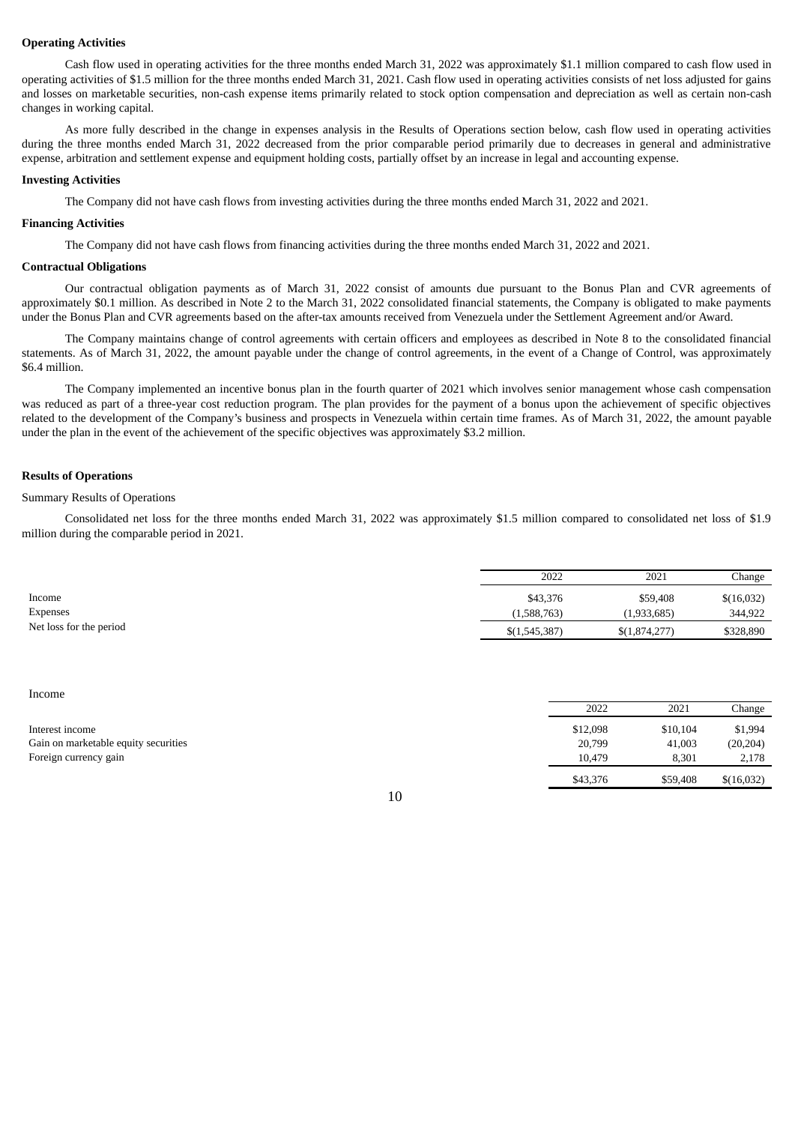#### **Operating Activities**

Cash flow used in operating activities for the three months ended March 31, 2022 was approximately \$1.1 million compared to cash flow used in operating activities of \$1.5 million for the three months ended March 31, 2021. Cash flow used in operating activities consists of net loss adjusted for gains and losses on marketable securities, non-cash expense items primarily related to stock option compensation and depreciation as well as certain non-cash changes in working capital.

As more fully described in the change in expenses analysis in the Results of Operations section below, cash flow used in operating activities during the three months ended March 31, 2022 decreased from the prior comparable period primarily due to decreases in general and administrative expense, arbitration and settlement expense and equipment holding costs, partially offset by an increase in legal and accounting expense.

#### **Investing Activities**

The Company did not have cash flows from investing activities during the three months ended March 31, 2022 and 2021.

#### **Financing Activities**

The Company did not have cash flows from financing activities during the three months ended March 31, 2022 and 2021.

#### **Contractual Obligations**

Our contractual obligation payments as of March 31, 2022 consist of amounts due pursuant to the Bonus Plan and CVR agreements of approximately \$0.1 million. As described in Note 2 to the March 31, 2022 consolidated financial statements, the Company is obligated to make payments under the Bonus Plan and CVR agreements based on the after-tax amounts received from Venezuela under the Settlement Agreement and/or Award.

The Company maintains change of control agreements with certain officers and employees as described in Note 8 to the consolidated financial statements. As of March 31, 2022, the amount payable under the change of control agreements, in the event of a Change of Control, was approximately \$6.4 million.

The Company implemented an incentive bonus plan in the fourth quarter of 2021 which involves senior management whose cash compensation was reduced as part of a three-year cost reduction program. The plan provides for the payment of a bonus upon the achievement of specific objectives related to the development of the Company's business and prospects in Venezuela within certain time frames. As of March 31, 2022, the amount payable under the plan in the event of the achievement of the specific objectives was approximately \$3.2 million.

#### **Results of Operations**

#### Summary Results of Operations

Consolidated net loss for the three months ended March 31, 2022 was approximately \$1.5 million compared to consolidated net loss of \$1.9 million during the comparable period in 2021.

|                         | 2022          | 2021          | Change     |
|-------------------------|---------------|---------------|------------|
| Income                  | \$43,376      | \$59,408      | \$(16,032) |
| Expenses                | (1,588,763)   | (1,933,685)   | 344,922    |
| Net loss for the period | \$(1,545,387) | \$(1,874,277) | \$328,890  |

#### Income

|                                      | 2022     | 2021     | Change     |
|--------------------------------------|----------|----------|------------|
| Interest income                      | \$12,098 | \$10,104 | \$1,994    |
| Gain on marketable equity securities | 20,799   | 41,003   | (20, 204)  |
| Foreign currency gain                | 10.479   | 8.301    | 2,178      |
|                                      | \$43,376 | \$59,408 | \$(16,032) |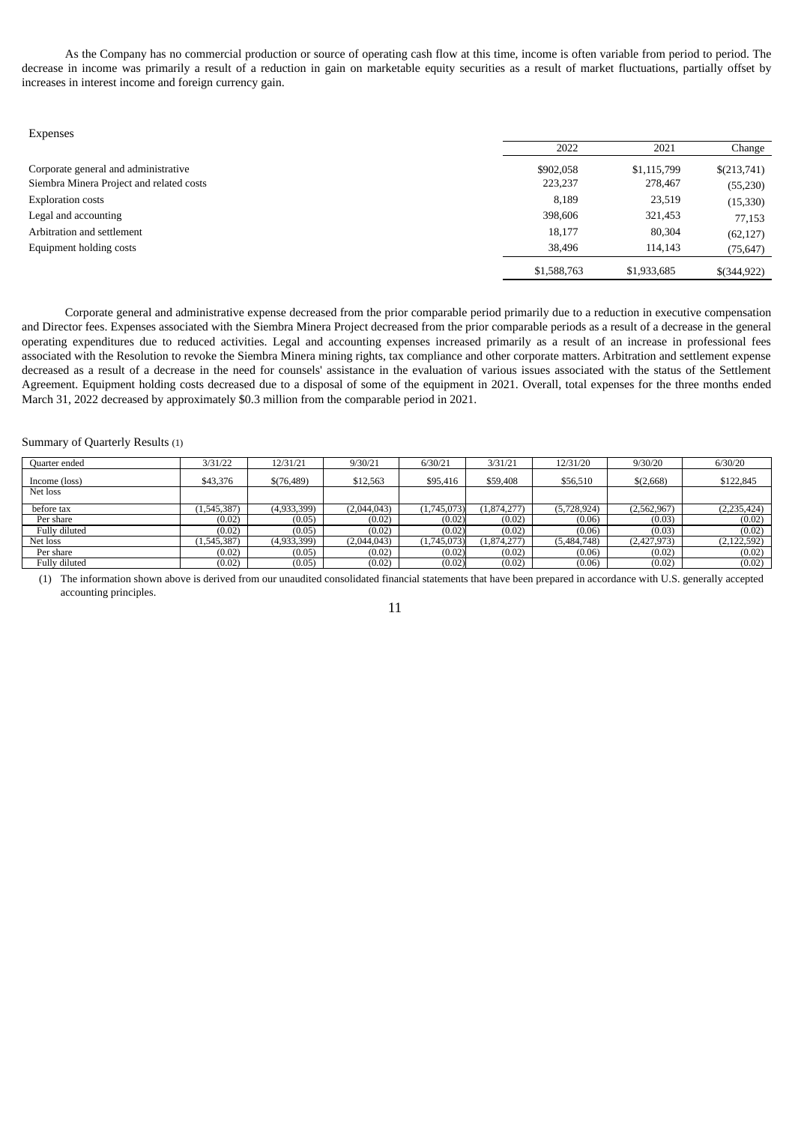As the Company has no commercial production or source of operating cash flow at this time, income is often variable from period to period. The decrease in income was primarily a result of a reduction in gain on marketable equity securities as a result of market fluctuations, partially offset by increases in interest income and foreign currency gain.

| Expenses                                 |             |             |             |
|------------------------------------------|-------------|-------------|-------------|
|                                          | 2022        | 2021        | Change      |
| Corporate general and administrative     | \$902,058   | \$1,115,799 | \$(213,741) |
| Siembra Minera Project and related costs | 223,237     | 278,467     | (55, 230)   |
| <b>Exploration costs</b>                 | 8,189       | 23,519      | (15, 330)   |
| Legal and accounting                     | 398,606     | 321,453     | 77,153      |
| Arbitration and settlement               | 18,177      | 80,304      | (62, 127)   |
| Equipment holding costs                  | 38,496      | 114,143     | (75, 647)   |
|                                          | \$1,588,763 | \$1,933,685 | \$(344,922) |

Corporate general and administrative expense decreased from the prior comparable period primarily due to a reduction in executive compensation and Director fees. Expenses associated with the Siembra Minera Project decreased from the prior comparable periods as a result of a decrease in the general operating expenditures due to reduced activities. Legal and accounting expenses increased primarily as a result of an increase in professional fees associated with the Resolution to revoke the Siembra Minera mining rights, tax compliance and other corporate matters. Arbitration and settlement expense decreased as a result of a decrease in the need for counsels' assistance in the evaluation of various issues associated with the status of the Settlement Agreement. Equipment holding costs decreased due to a disposal of some of the equipment in 2021. Overall, total expenses for the three months ended March 31, 2022 decreased by approximately \$0.3 million from the comparable period in 2021.

#### Summary of Quarterly Results (1)

| Quarter ended | 3/31/22    | 12/31/21    | 9/30/21     | 6/30/21     | 3/31/21   | 12/31/20    | 9/30/20     | 6/30/20       |
|---------------|------------|-------------|-------------|-------------|-----------|-------------|-------------|---------------|
| Income (loss) | \$43,376   | \$(76,489)  | \$12,563    | \$95,416    | \$59,408  | \$56,510    | \$(2,668)   | \$122,845     |
| Net loss      |            |             |             |             |           |             |             |               |
| before tax    | 1,545,387) | (4,933,399) | (2,044,043) | (1,745,073) | 1,874,277 | (5,728,924) | (2,562,967) | (2, 235, 424) |
| Per share     | (0.02)     | (0.05)      | (0.02)      | (0.02)      | (0.02)    | (0.06)      | (0.03)      | (0.02)        |
| Fully diluted | (0.02)     | (0.05)      | (0.02)      | (0.02)      | (0.02)    | (0.06)      | (0.03)      | (0.02)        |
| Net loss      | 1,545,387) | (4,933,399) | (2,044,043) | (1,745,073) | 1,874,277 | (5,484,748) | (2,427,973) | (2, 122, 592) |
| Per share     | (0.02)     | (0.05)      | (0.02)      | (0.02)      | (0.02)    | (0.06)      | (0.02)      | (0.02)        |
| Fully diluted | (0.02)     | (0.05)      | (0.02)      | (0.02)      | (0.02)    | (0.06)      | (0.02)      | (0.02)        |

(1) The information shown above is derived from our unaudited consolidated financial statements that have been prepared in accordance with U.S. generally accepted accounting principles.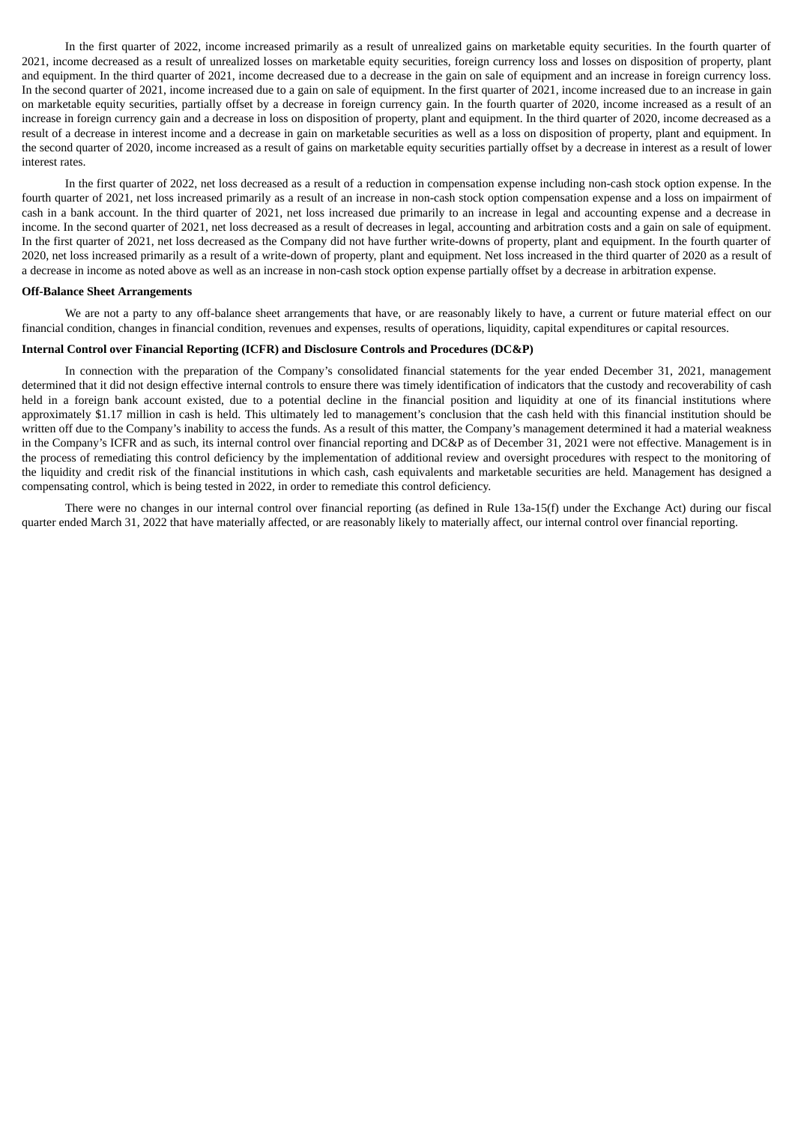In the first quarter of 2022, income increased primarily as a result of unrealized gains on marketable equity securities. In the fourth quarter of 2021, income decreased as a result of unrealized losses on marketable equity securities, foreign currency loss and losses on disposition of property, plant and equipment. In the third quarter of 2021, income decreased due to a decrease in the gain on sale of equipment and an increase in foreign currency loss. In the second quarter of 2021, income increased due to a gain on sale of equipment. In the first quarter of 2021, income increased due to an increase in gain on marketable equity securities, partially offset by a decrease in foreign currency gain. In the fourth quarter of 2020, income increased as a result of an increase in foreign currency gain and a decrease in loss on disposition of property, plant and equipment. In the third quarter of 2020, income decreased as a result of a decrease in interest income and a decrease in gain on marketable securities as well as a loss on disposition of property, plant and equipment. In the second quarter of 2020, income increased as a result of gains on marketable equity securities partially offset by a decrease in interest as a result of lower interest rates.

In the first quarter of 2022, net loss decreased as a result of a reduction in compensation expense including non-cash stock option expense. In the fourth quarter of 2021, net loss increased primarily as a result of an increase in non-cash stock option compensation expense and a loss on impairment of cash in a bank account. In the third quarter of 2021, net loss increased due primarily to an increase in legal and accounting expense and a decrease in income. In the second quarter of 2021, net loss decreased as a result of decreases in legal, accounting and arbitration costs and a gain on sale of equipment. In the first quarter of 2021, net loss decreased as the Company did not have further write-downs of property, plant and equipment. In the fourth quarter of 2020, net loss increased primarily as a result of a write-down of property, plant and equipment. Net loss increased in the third quarter of 2020 as a result of a decrease in income as noted above as well as an increase in non-cash stock option expense partially offset by a decrease in arbitration expense.

#### **Off-Balance Sheet Arrangements**

We are not a party to any off-balance sheet arrangements that have, or are reasonably likely to have, a current or future material effect on our financial condition, changes in financial condition, revenues and expenses, results of operations, liquidity, capital expenditures or capital resources.

#### **Internal Control over Financial Reporting (ICFR) and Disclosure Controls and Procedures (DC&P)**

In connection with the preparation of the Company's consolidated financial statements for the year ended December 31, 2021, management determined that it did not design effective internal controls to ensure there was timely identification of indicators that the custody and recoverability of cash held in a foreign bank account existed, due to a potential decline in the financial position and liquidity at one of its financial institutions where approximately \$1.17 million in cash is held. This ultimately led to management's conclusion that the cash held with this financial institution should be written off due to the Company's inability to access the funds. As a result of this matter, the Company's management determined it had a material weakness in the Company's ICFR and as such, its internal control over financial reporting and DC&P as of December 31, 2021 were not effective. Management is in the process of remediating this control deficiency by the implementation of additional review and oversight procedures with respect to the monitoring of the liquidity and credit risk of the financial institutions in which cash, cash equivalents and marketable securities are held. Management has designed a compensating control, which is being tested in 2022, in order to remediate this control deficiency.

There were no changes in our internal control over financial reporting (as defined in Rule 13a-15(f) under the Exchange Act) during our fiscal quarter ended March 31, 2022 that have materially affected, or are reasonably likely to materially affect, our internal control over financial reporting.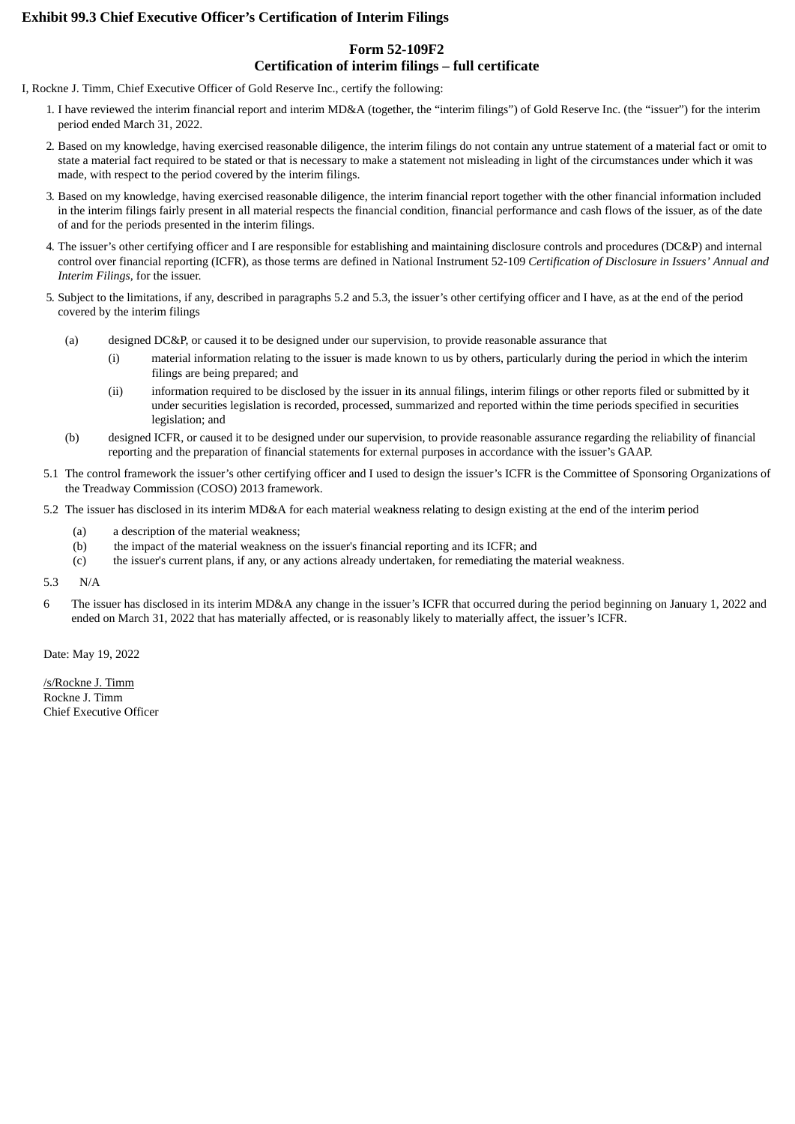## **Exhibit 99.3 Chief Executive Officer's Certification of Interim Filings**

## **Form 52-109F2 Certification of interim filings – full certificate**

I, Rockne J. Timm, Chief Executive Officer of Gold Reserve Inc., certify the following:

- 1. I have reviewed the interim financial report and interim MD&A (together, the "interim filings") of Gold Reserve Inc. (the "issuer") for the interim period ended March 31, 2022.
- 2. Based on my knowledge, having exercised reasonable diligence, the interim filings do not contain any untrue statement of a material fact or omit to state a material fact required to be stated or that is necessary to make a statement not misleading in light of the circumstances under which it was made, with respect to the period covered by the interim filings.
- 3. Based on my knowledge, having exercised reasonable diligence, the interim financial report together with the other financial information included in the interim filings fairly present in all material respects the financial condition, financial performance and cash flows of the issuer, as of the date of and for the periods presented in the interim filings.
- 4. The issuer's other certifying officer and I are responsible for establishing and maintaining disclosure controls and procedures (DC&P) and internal control over financial reporting (ICFR), as those terms are defined in National Instrument 52-109 *Certification of Disclosure in Issuers' Annual and Interim Filings,* for the issuer.
- 5. Subject to the limitations, if any, described in paragraphs 5.2 and 5.3, the issuer's other certifying officer and I have, as at the end of the period covered by the interim filings
	- (a) designed DC&P, or caused it to be designed under our supervision, to provide reasonable assurance that
		- (i) material information relating to the issuer is made known to us by others, particularly during the period in which the interim filings are being prepared; and
		- (ii) information required to be disclosed by the issuer in its annual filings, interim filings or other reports filed or submitted by it under securities legislation is recorded, processed, summarized and reported within the time periods specified in securities legislation; and
	- (b) designed ICFR, or caused it to be designed under our supervision, to provide reasonable assurance regarding the reliability of financial reporting and the preparation of financial statements for external purposes in accordance with the issuer's GAAP.
- 5.1 The control framework the issuer's other certifying officer and I used to design the issuer's ICFR is the Committee of Sponsoring Organizations of the Treadway Commission (COSO) 2013 framework.
- 5.2 The issuer has disclosed in its interim MD&A for each material weakness relating to design existing at the end of the interim period
	- (a) a description of the material weakness;
	- (b) the impact of the material weakness on the issuer's financial reporting and its ICFR; and
	- (c) the issuer's current plans, if any, or any actions already undertaken, for remediating the material weakness.
- 5.3 N/A
- 6 The issuer has disclosed in its interim MD&A any change in the issuer's ICFR that occurred during the period beginning on January 1, 2022 and ended on March 31, 2022 that has materially affected, or is reasonably likely to materially affect, the issuer's ICFR.

Date: May 19, 2022

/s/Rockne J. Timm Rockne J. Timm Chief Executive Officer